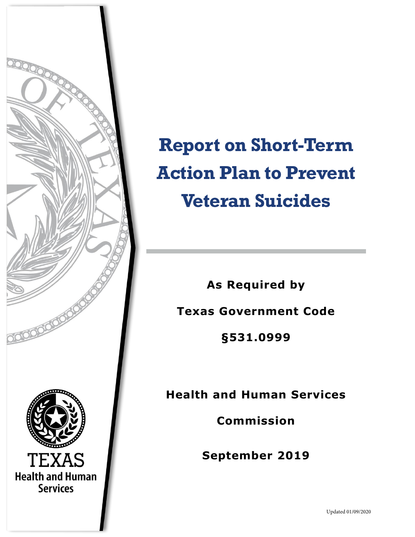

# **Report on Short-Term Action Plan to Prevent Veteran Suicides**

**As Required by Texas Government Code** 

**§531.0999**

**Health and Human Services** 

**Commission** 

**September 2019**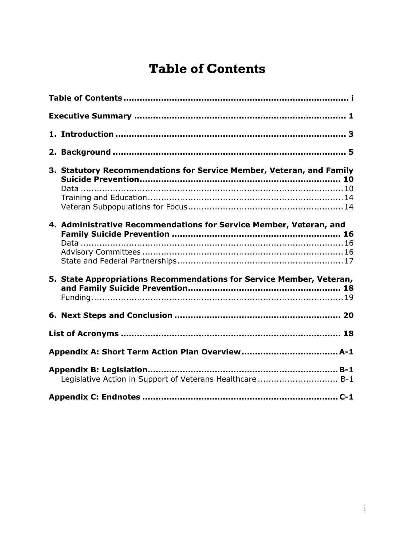# <span id="page-1-0"></span>**Table of Contents**

|  | 3. Statutory Recommendations for Service Member, Veteran, and Family |  |  |  |  |  |  |  |  |  |  |  |
|--|----------------------------------------------------------------------|--|--|--|--|--|--|--|--|--|--|--|
|  | 4. Administrative Recommendations for Service Member, Veteran, and   |  |  |  |  |  |  |  |  |  |  |  |
|  | 5. State Appropriations Recommendations for Service Member, Veteran, |  |  |  |  |  |  |  |  |  |  |  |
|  |                                                                      |  |  |  |  |  |  |  |  |  |  |  |
|  |                                                                      |  |  |  |  |  |  |  |  |  |  |  |
|  |                                                                      |  |  |  |  |  |  |  |  |  |  |  |
|  | Legislative Action in Support of Veterans Healthcare  B-1            |  |  |  |  |  |  |  |  |  |  |  |
|  |                                                                      |  |  |  |  |  |  |  |  |  |  |  |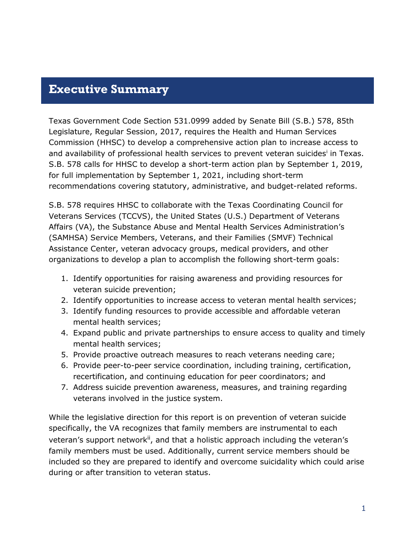#### <span id="page-2-0"></span>**Executive Summary**

Texas Government Code Section 531.0999 added by Senate Bill (S.B.) 578, 85th Legislature, Regular Session, 2017, requires the Health and Human Services Commission (HHSC) to develop a comprehensive action plan to increase access to and availability of professional health services to prevent veteran suicides<sup>i</sup> in Texas. S.B. 578 calls for HHSC to develop a short-term action plan by September 1, 2019, for full implementation by September 1, 2021, including short-term recommendations covering statutory, administrative, and budget-related reforms.

S.B. 578 requires HHSC to collaborate with the Texas Coordinating Council for Veterans Services (TCCVS), the United States (U.S.) Department of Veterans Affairs (VA), the Substance Abuse and Mental Health Services Administration's (SAMHSA) Service Members, Veterans, and their Families (SMVF) Technical Assistance Center, veteran advocacy groups, medical providers, and other organizations to develop a plan to accomplish the following short-term goals:

- 1. Identify opportunities for raising awareness and providing resources for veteran suicide prevention;
- 2. Identify opportunities to increase access to veteran mental health services;
- 3. Identify funding resources to provide accessible and affordable veteran mental health services;
- 4. Expand public and private partnerships to ensure access to quality and timely mental health services;
- 5. Provide proactive outreach measures to reach veterans needing care;
- 6. Provide peer-to-peer service coordination, including training, certification, recertification, and continuing education for peer coordinators; and
- 7. Address suicide prevention awareness, measures, and training regarding veterans involved in the justice system.

While the legislative direction for this report is on prevention of veteran suicide specifically, the VA recognizes that family members are instrumental to each veteran's support network<sup>ii</sup>, and that a holistic approach including the veteran's family members must be used. Additionally, current service members should be included so they are prepared to identify and overcome suicidality which could arise during or after transition to veteran status.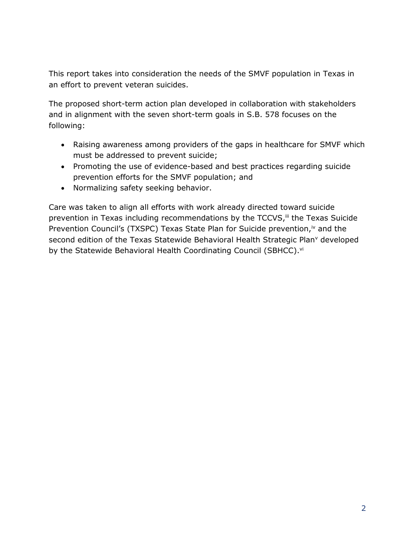This report takes into consideration the needs of the SMVF population in Texas in an effort to prevent veteran suicides.

The proposed short-term action plan developed in collaboration with stakeholders and in alignment with the seven short-term goals in S.B. 578 focuses on the following:

- Raising awareness among providers of the gaps in healthcare for SMVF which must be addressed to prevent suicide;
- Promoting the use of evidence-based and best practices regarding suicide prevention efforts for the SMVF population; and
- Normalizing safety seeking behavior.

Care was taken to align all efforts with work already directed toward suicide prevention in Texas including recommendations by the TCCVS,<sup>iii</sup> the Texas Suicide Prevention Council's (TXSPC) Texas State Plan for Suicide prevention,<sup>iv</sup> and the second edition of the Texas Statewide Behavioral Health Strategic Plan<sup>v</sup> developed by the Statewide Behavioral Health Coordinating Council (SBHCC).<sup>vi</sup>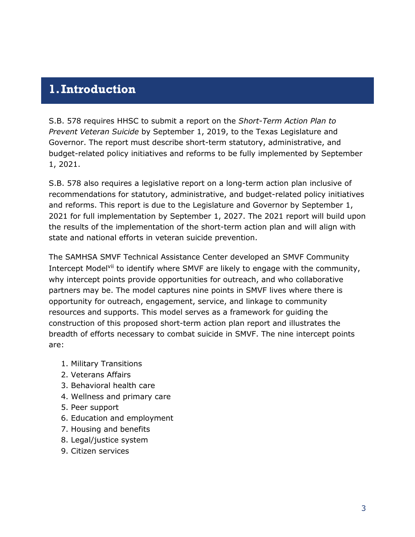#### <span id="page-4-0"></span>**1.Introduction**

S.B. 578 requires HHSC to submit a report on the *Short-Term Action Plan to Prevent Veteran Suicide* by September 1, 2019, to the Texas Legislature and Governor. The report must describe short-term statutory, administrative, and budget-related policy initiatives and reforms to be fully implemented by September 1, 2021.

S.B. 578 also requires a legislative report on a long-term action plan inclusive of recommendations for statutory, administrative, and budget-related policy initiatives and reforms. This report is due to the Legislature and Governor by September 1, 2021 for full implementation by September 1, 2027. The 2021 report will build upon the results of the implementation of the short-term action plan and will align with state and national efforts in veteran suicide prevention.

The SAMHSA SMVF Technical Assistance Center developed an SMVF Community Intercept Model<sup>vii</sup> to identify where SMVF are likely to engage with the community, why intercept points provide opportunities for outreach, and who collaborative partners may be. The model captures nine points in SMVF lives where there is opportunity for outreach, engagement, service, and linkage to community resources and supports. This model serves as a framework for guiding the construction of this proposed short-term action plan report and illustrates the breadth of efforts necessary to combat suicide in SMVF. The nine intercept points are:

- 1. Military Transitions
- 2. Veterans Affairs
- 3. Behavioral health care
- 4. Wellness and primary care
- 5. Peer support
- 6. Education and employment
- 7. Housing and benefits
- 8. Legal/justice system
- 9. Citizen services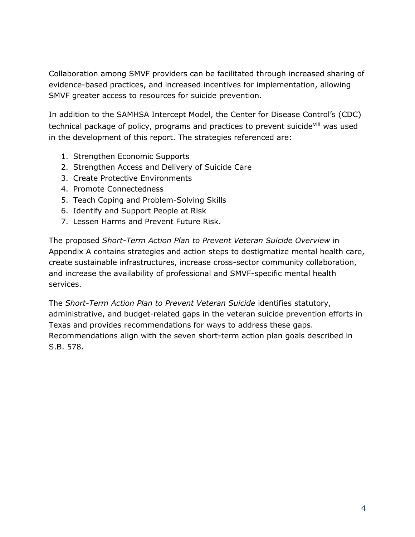Collaboration among SMVF providers can be facilitated through increased sharing of evidence-based practices, and increased incentives for implementation, allowing SMVF greater access to resources for suicide prevention.

In addition to the SAMHSA Intercept Model, the Center for Disease Control's (CDC) technical package of policy, programs and practices to prevent suicidevill was used in the development of this report. The strategies referenced are:

- 1. Strengthen Economic Supports
- 2. Strengthen Access and Delivery of Suicide Care
- 3. Create Protective Environments
- 4. Promote Connectedness
- 5. Teach Coping and Problem-Solving Skills
- 6. Identify and Support People at Risk
- 7. Lessen Harms and Prevent Future Risk.

The proposed *Short-Term Action Plan to Prevent Veteran Suicide Overview* in Appendix A contains strategies and action steps to destigmatize mental health care, create sustainable infrastructures, increase cross-sector community collaboration, and increase the availability of professional and SMVF-specific mental health services.

The *Short-Term Action Plan to Prevent Veteran Suicide* identifies statutory, administrative, and budget-related gaps in the veteran suicide prevention efforts in Texas and provides recommendations for ways to address these gaps. Recommendations align with the seven short-term action plan goals described in S.B. 578.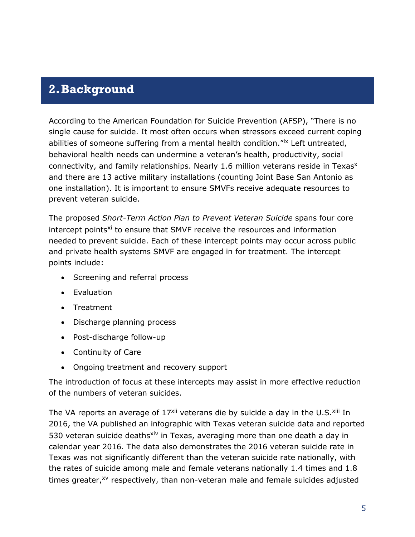## <span id="page-6-0"></span>**2.Background**

According to the American Foundation for Suicide Prevention (AFSP), "There is no single cause for suicide. It most often occurs when stressors exceed current coping abilities of someone suffering from a mental health condition."ix Left untreated, behavioral health needs can undermine a veteran's health, productivity, social connectivity, and family relationships. Nearly 1.6 million veterans reside in Texas<sup>x</sup> and there are 13 active military installations (counting Joint Base San Antonio as one installation). It is important to ensure SMVFs receive adequate resources to prevent veteran suicide.

The proposed *Short-Term Action Plan to Prevent Veteran Suicide* spans four core intercept points<sup>xi</sup> to ensure that SMVF receive the resources and information needed to prevent suicide. Each of these intercept points may occur across public and private health systems SMVF are engaged in for treatment. The intercept points include:

- Screening and referral process
- **•** Evaluation
- Treatment
- Discharge planning process
- Post-discharge follow-up
- Continuity of Care
- Ongoing treatment and recovery support

The introduction of focus at these intercepts may assist in more effective reduction of the numbers of veteran suicides.

The VA reports an average of 17<sup>xii</sup> veterans die by suicide a day in the U.S.<sup>xiii</sup> In 2016, the VA published an infographic with Texas veteran suicide data and reported 530 veteran suicide deaths<sup>xiv</sup> in Texas, averaging more than one death a day in calendar year 2016. The data also demonstrates the 2016 veteran suicide rate in Texas was not significantly different than the veteran suicide rate nationally, with the rates of suicide among male and female veterans nationally 1.4 times and 1.8 times greater,<sup>xv</sup> respectively, than non-veteran male and female suicides adjusted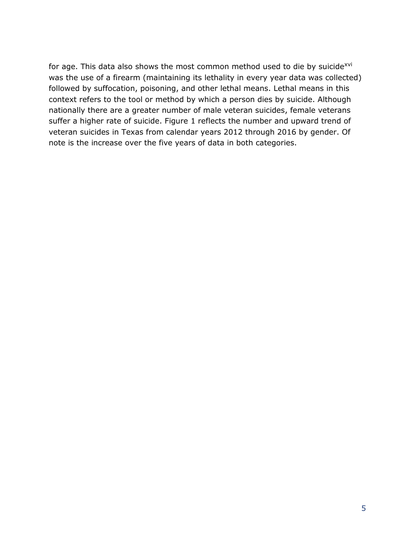for age. This data also shows the most common method used to die by suicide<sup>xvi</sup> was the use of a firearm (maintaining its lethality in every year data was collected) followed by suffocation, poisoning, and other lethal means. Lethal means in this context refers to the tool or method by which a person dies by suicide. Although nationally there are a greater number of male veteran suicides, female veterans suffer a higher rate of suicide. Figure 1 reflects the number and upward trend of veteran suicides in Texas from calendar years 2012 through 2016 by gender. Of note is the increase over the five years of data in both categories.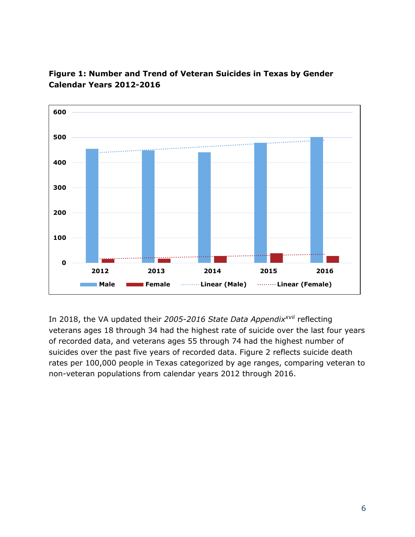



In 2018, the VA updated their *2005-2016 State Data Appendixxvii* reflecting veterans ages 18 through 34 had the highest rate of suicide over the last four years of recorded data, and veterans ages 55 through 74 had the highest number of suicides over the past five years of recorded data. Figure 2 reflects suicide death rates per 100,000 people in Texas categorized by age ranges, comparing veteran to non-veteran populations from calendar years 2012 through 2016.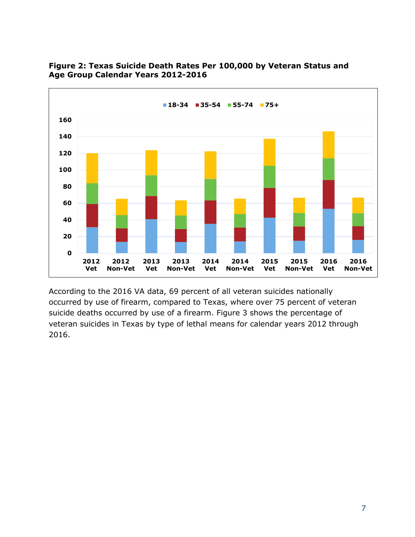

#### **Figure 2: Texas Suicide Death Rates Per 100,000 by Veteran Status and Age Group Calendar Years 2012-2016**

According to the 2016 VA data, 69 percent of all veteran suicides nationally occurred by use of firearm, compared to Texas, where over 75 percent of veteran suicide deaths occurred by use of a firearm. Figure 3 shows the percentage of veteran suicides in Texas by type of lethal means for calendar years 2012 through 2016.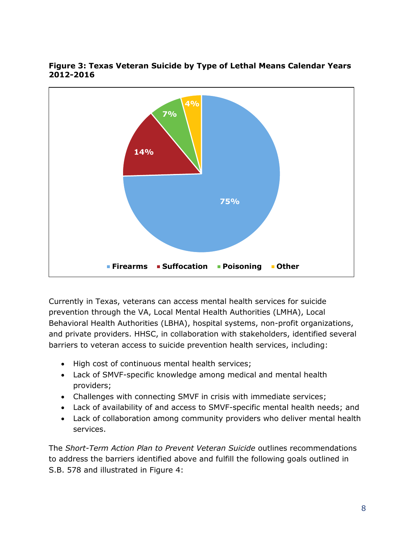

#### **Figure 3: Texas Veteran Suicide by Type of Lethal Means Calendar Years 2012-2016**

Currently in Texas, veterans can access mental health services for suicide prevention through the VA, Local Mental Health Authorities (LMHA), Local Behavioral Health Authorities (LBHA), hospital systems, non-profit organizations, and private providers. HHSC, in collaboration with stakeholders, identified several barriers to veteran access to suicide prevention health services, including:

- High cost of continuous mental health services;
- Lack of SMVF-specific knowledge among medical and mental health providers;
- Challenges with connecting SMVF in crisis with immediate services;
- Lack of availability of and access to SMVF-specific mental health needs; and
- Lack of collaboration among community providers who deliver mental health services.

The *Short-Term Action Plan to Prevent Veteran Suicide* outlines recommendations to address the barriers identified above and fulfill the following goals outlined in S.B. 578 and illustrated in Figure 4: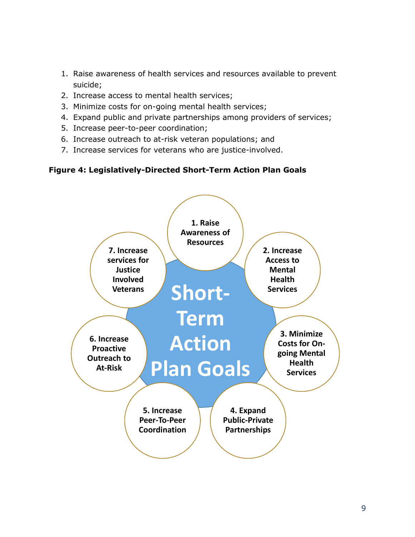- 1. Raise awareness of health services and resources available to prevent suicide;
- 2. Increase access to mental health services;
- 3. Minimize costs for on-going mental health services;
- 4. Expand public and private partnerships among providers of services;
- 5. Increase peer-to-peer coordination;
- 6. Increase outreach to at-risk veteran populations; and
- 7. Increase services for veterans who are justice-involved.

#### **Figure 4: Legislatively-Directed Short-Term Action Plan Goals**

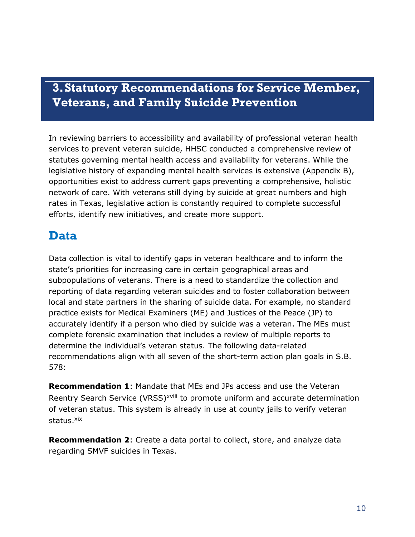# <span id="page-12-0"></span>**3.Statutory Recommendations for Service Member, Veterans, and Family Suicide Prevention**

In reviewing barriers to accessibility and availability of professional veteran health services to prevent veteran suicide, HHSC conducted a comprehensive review of statutes governing mental health access and availability for veterans. While the legislative history of expanding mental health services is extensive (Appendix B), opportunities exist to address current gaps preventing a comprehensive, holistic network of care. With veterans still dying by suicide at great numbers and high rates in Texas, legislative action is constantly required to complete successful efforts, identify new initiatives, and create more support.

## <span id="page-12-1"></span>**Data**

Data collection is vital to identify gaps in veteran healthcare and to inform the state's priorities for increasing care in certain geographical areas and subpopulations of veterans. There is a need to standardize the collection and reporting of data regarding veteran suicides and to foster collaboration between local and state partners in the sharing of suicide data. For example, no standard practice exists for Medical Examiners (ME) and Justices of the Peace (JP) to accurately identify if a person who died by suicide was a veteran. The MEs must complete forensic examination that includes a review of multiple reports to determine the individual's veteran status. The following data-related recommendations align with all seven of the short-term action plan goals in S.B. 578:

**Recommendation 1**: Mandate that MEs and JPs access and use the Veteran Reentry Search Service (VRSS)<sup>xviii</sup> to promote uniform and accurate determination of veteran status. This system is already in use at county jails to verify veteran status.<sup>xix</sup>

**Recommendation 2**: Create a data portal to collect, store, and analyze data regarding SMVF suicides in Texas.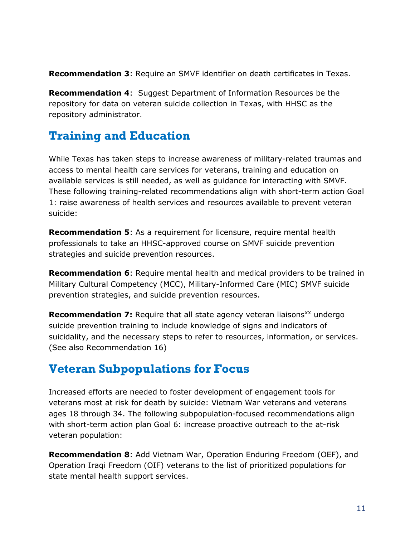**Recommendation 3**: Require an SMVF identifier on death certificates in Texas.

**Recommendation 4**: Suggest Department of Information Resources be the repository for data on veteran suicide collection in Texas, with HHSC as the repository administrator.

# <span id="page-13-0"></span>**Training and Education**

While Texas has taken steps to increase awareness of military-related traumas and access to mental health care services for veterans, training and education on available services is still needed, as well as guidance for interacting with SMVF. These following training-related recommendations align with short-term action Goal 1: raise awareness of health services and resources available to prevent veteran suicide:

**Recommendation 5**: As a requirement for licensure, require mental health professionals to take an HHSC-approved course on SMVF suicide prevention strategies and suicide prevention resources.

**Recommendation 6**: Require mental health and medical providers to be trained in Military Cultural Competency (MCC), Military-Informed Care (MIC) SMVF suicide prevention strategies, and suicide prevention resources.

**Recommendation 7:** Require that all state agency veteran liaisons<sup>xx</sup> undergo suicide prevention training to include knowledge of signs and indicators of suicidality, and the necessary steps to refer to resources, information, or services. (See also Recommendation 16)

# <span id="page-13-1"></span>**Veteran Subpopulations for Focus**

Increased efforts are needed to foster development of engagement tools for veterans most at risk for death by suicide: Vietnam War veterans and veterans ages 18 through 34. The following subpopulation-focused recommendations align with short-term action plan Goal 6: increase proactive outreach to the at-risk veteran population:

**Recommendation 8**: Add Vietnam War, Operation Enduring Freedom (OEF), and Operation Iraqi Freedom (OIF) veterans to the list of prioritized populations for state mental health support services.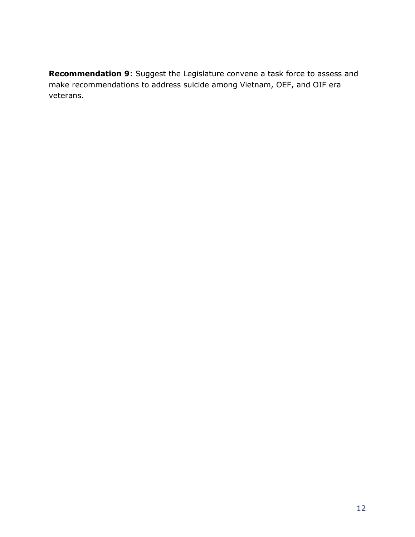**Recommendation 9**: Suggest the Legislature convene a task force to assess and make recommendations to address suicide among Vietnam, OEF, and OIF era veterans.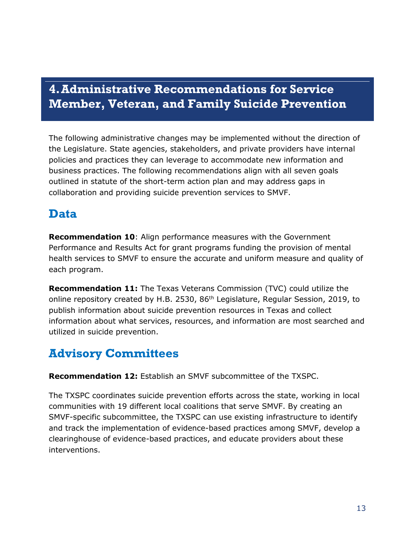# <span id="page-15-0"></span>**4.Administrative Recommendations for Service Member, Veteran, and Family Suicide Prevention**

The following administrative changes may be implemented without the direction of the Legislature. State agencies, stakeholders, and private providers have internal policies and practices they can leverage to accommodate new information and business practices. The following recommendations align with all seven goals outlined in statute of the short-term action plan and may address gaps in collaboration and providing suicide prevention services to SMVF.

## <span id="page-15-1"></span>**Data**

**Recommendation 10**: Align performance measures with the Government Performance and Results Act for grant programs funding the provision of mental health services to SMVF to ensure the accurate and uniform measure and quality of each program.

**Recommendation 11:** The Texas Veterans Commission (TVC) could utilize the online repository created by H.B. 2530, 86<sup>th</sup> Legislature, Regular Session, 2019, to publish information about suicide prevention resources in Texas and collect information about what services, resources, and information are most searched and utilized in suicide prevention.

# <span id="page-15-2"></span>**Advisory Committees**

**Recommendation 12:** Establish an SMVF subcommittee of the TXSPC.

The TXSPC coordinates suicide prevention efforts across the state, working in local communities with 19 different local coalitions that serve SMVF. By creating an SMVF-specific subcommittee, the TXSPC can use existing infrastructure to identify and track the implementation of evidence-based practices among SMVF, develop a clearinghouse of evidence-based practices, and educate providers about these interventions.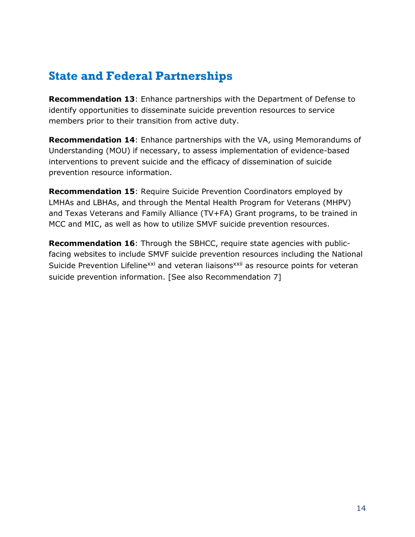# <span id="page-16-0"></span>**State and Federal Partnerships**

**Recommendation 13**: Enhance partnerships with the Department of Defense to identify opportunities to disseminate suicide prevention resources to service members prior to their transition from active duty.

**Recommendation 14**: Enhance partnerships with the VA, using Memorandums of Understanding (MOU) if necessary, to assess implementation of evidence-based interventions to prevent suicide and the efficacy of dissemination of suicide prevention resource information.

**Recommendation 15**: Require Suicide Prevention Coordinators employed by LMHAs and LBHAs, and through the Mental Health Program for Veterans (MHPV) and Texas Veterans and Family Alliance (TV+FA) Grant programs, to be trained in MCC and MIC, as well as how to utilize SMVF suicide prevention resources.

**Recommendation 16**: Through the SBHCC, require state agencies with publicfacing websites to include SMVF suicide prevention resources including the National Suicide Prevention Lifeline<sup>xxi</sup> and veteran liaisons<sup>xxii</sup> as resource points for veteran suicide prevention information. [See also Recommendation 7]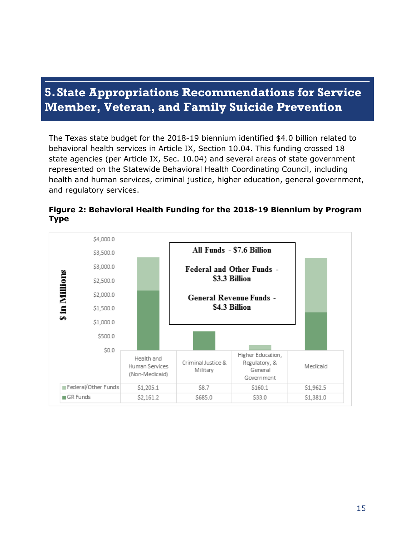# <span id="page-17-0"></span>**5.State Appropriations Recommendations for Service Member, Veteran, and Family Suicide Prevention**

The Texas state budget for the 2018-19 biennium identified \$4.0 billion related to behavioral health services in Article IX, Section 10.04. This funding crossed 18 state agencies (per Article IX, Sec. 10.04) and several areas of state government represented on the Statewide Behavioral Health Coordinating Council, including health and human services, criminal justice, higher education, general government, and regulatory services.



#### **Figure 2: Behavioral Health Funding for the 2018-19 Biennium by Program Type**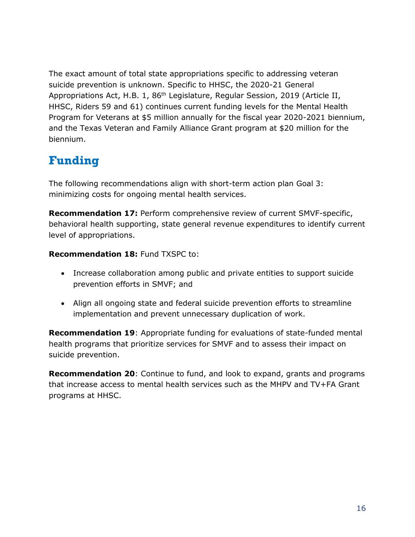The exact amount of total state appropriations specific to addressing veteran suicide prevention is unknown. Specific to HHSC, the 2020-21 General Appropriations Act, H.B. 1, 86<sup>th</sup> Legislature, Regular Session, 2019 (Article II, HHSC, Riders 59 and 61) continues current funding levels for the Mental Health Program for Veterans at \$5 million annually for the fiscal year 2020-2021 biennium, and the Texas Veteran and Family Alliance Grant program at \$20 million for the biennium.

# <span id="page-18-0"></span>**Funding**

The following recommendations align with short-term action plan Goal 3: minimizing costs for ongoing mental health services.

**Recommendation 17:** Perform comprehensive review of current SMVF-specific, behavioral health supporting, state general revenue expenditures to identify current level of appropriations.

**Recommendation 18:** Fund TXSPC to:

- Increase collaboration among public and private entities to support suicide prevention efforts in SMVF; and
- Align all ongoing state and federal suicide prevention efforts to streamline implementation and prevent unnecessary duplication of work.

**Recommendation 19**: Appropriate funding for evaluations of state-funded mental health programs that prioritize services for SMVF and to assess their impact on suicide prevention.

**Recommendation 20**: Continue to fund, and look to expand, grants and programs that increase access to mental health services such as the MHPV and TV+FA Grant programs at HHSC.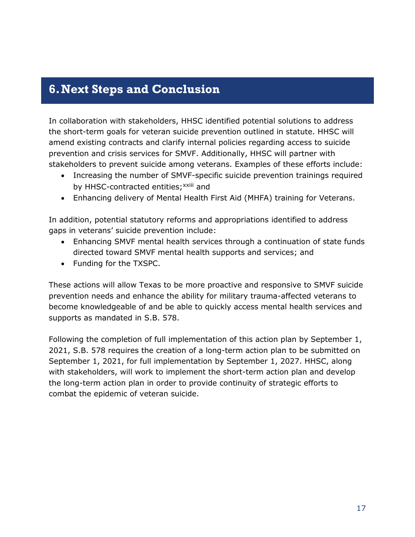## <span id="page-19-0"></span>**6.Next Steps and Conclusion**

In collaboration with stakeholders, HHSC identified potential solutions to address the short-term goals for veteran suicide prevention outlined in statute. HHSC will amend existing contracts and clarify internal policies regarding access to suicide prevention and crisis services for SMVF. Additionally, HHSC will partner with stakeholders to prevent suicide among veterans. Examples of these efforts include:

- Increasing the number of SMVF-specific suicide prevention trainings required by HHSC-contracted entities;<sup>xxiii</sup> and
- Enhancing delivery of Mental Health First Aid (MHFA) training for Veterans.

In addition, potential statutory reforms and appropriations identified to address gaps in veterans' suicide prevention include:

- Enhancing SMVF mental health services through a continuation of state funds directed toward SMVF mental health supports and services; and
- Funding for the TXSPC.

These actions will allow Texas to be more proactive and responsive to SMVF suicide prevention needs and enhance the ability for military trauma-affected veterans to become knowledgeable of and be able to quickly access mental health services and supports as mandated in S.B. 578.

Following the completion of full implementation of this action plan by September 1, 2021, S.B. 578 requires the creation of a long-term action plan to be submitted on September 1, 2021, for full implementation by September 1, 2027. HHSC, along with stakeholders, will work to implement the short-term action plan and develop the long-term action plan in order to provide continuity of strategic efforts to combat the epidemic of veteran suicide.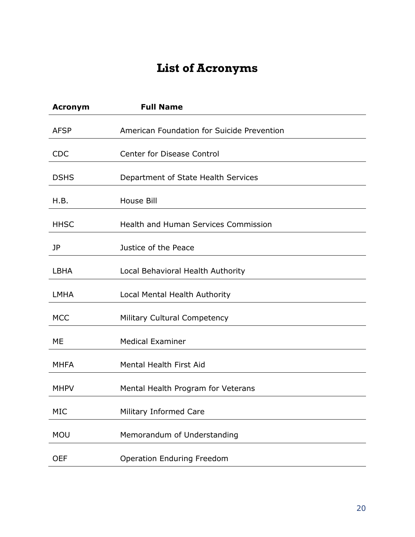# **List of Acronyms**

<span id="page-20-0"></span>

| <b>Acronym</b> | <b>Full Name</b>                            |
|----------------|---------------------------------------------|
| <b>AFSP</b>    | American Foundation for Suicide Prevention  |
| <b>CDC</b>     | <b>Center for Disease Control</b>           |
| <b>DSHS</b>    | Department of State Health Services         |
| H.B.           | <b>House Bill</b>                           |
| <b>HHSC</b>    | <b>Health and Human Services Commission</b> |
| JP             | Justice of the Peace                        |
| <b>LBHA</b>    | Local Behavioral Health Authority           |
| <b>LMHA</b>    | Local Mental Health Authority               |
| <b>MCC</b>     | Military Cultural Competency                |
| ME             | <b>Medical Examiner</b>                     |
| <b>MHFA</b>    | Mental Health First Aid                     |
| <b>MHPV</b>    | Mental Health Program for Veterans          |
| <b>MIC</b>     | Military Informed Care                      |
| <b>MOU</b>     | Memorandum of Understanding                 |
| <b>OEF</b>     | Operation Enduring Freedom                  |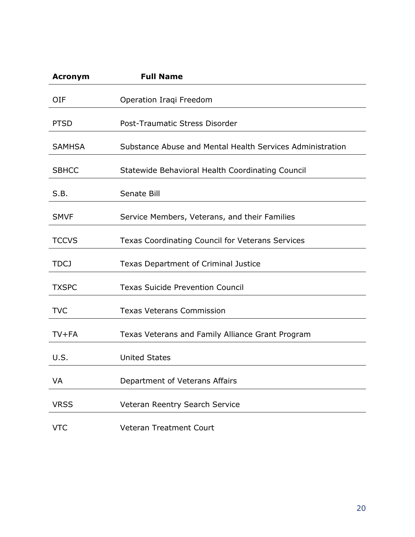| <b>Acronym</b> | <b>Full Name</b>                                          |
|----------------|-----------------------------------------------------------|
| <b>OIF</b>     | Operation Iraqi Freedom                                   |
| <b>PTSD</b>    | Post-Traumatic Stress Disorder                            |
| <b>SAMHSA</b>  | Substance Abuse and Mental Health Services Administration |
| <b>SBHCC</b>   | Statewide Behavioral Health Coordinating Council          |
| S.B.           | Senate Bill                                               |
| <b>SMVF</b>    | Service Members, Veterans, and their Families             |
| <b>TCCVS</b>   | <b>Texas Coordinating Council for Veterans Services</b>   |
| <b>TDCJ</b>    | Texas Department of Criminal Justice                      |
| <b>TXSPC</b>   | <b>Texas Suicide Prevention Council</b>                   |
| <b>TVC</b>     | <b>Texas Veterans Commission</b>                          |
| $TV + FA$      | Texas Veterans and Family Alliance Grant Program          |
| U.S.           | <b>United States</b>                                      |
| VA             | Department of Veterans Affairs                            |
| <b>VRSS</b>    | Veteran Reentry Search Service                            |
| <b>VTC</b>     | Veteran Treatment Court                                   |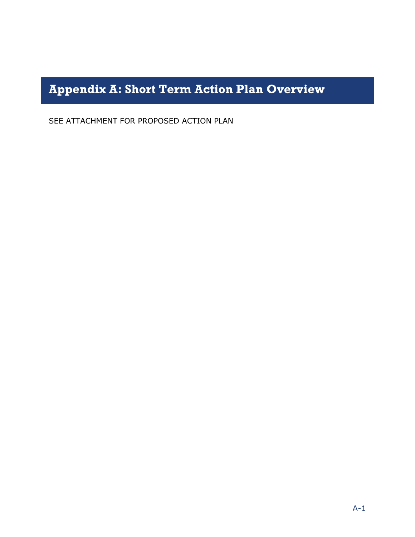# <span id="page-22-0"></span>**Appendix A: Short Term Action Plan Overview**

SEE ATTACHMENT FOR PROPOSED ACTION PLAN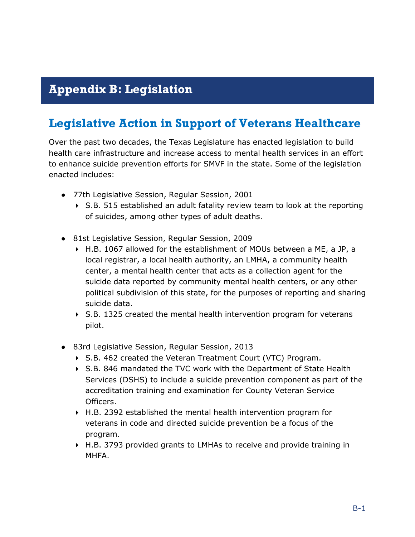## <span id="page-23-0"></span>**Appendix B: Legislation**

# <span id="page-23-1"></span>**Legislative Action in Support of Veterans Healthcare**

Over the past two decades, the Texas Legislature has enacted legislation to build health care infrastructure and increase access to mental health services in an effort to enhance suicide prevention efforts for SMVF in the state. Some of the legislation enacted includes:

- 77th Legislative Session, Regular Session, 2001
	- S.B. 515 established an adult fatality review team to look at the reporting of suicides, among other types of adult deaths.
- 81st Legislative Session, Regular Session, 2009
	- H.B. 1067 allowed for the establishment of MOUs between a ME, a JP, a local registrar, a local health authority, an LMHA, a community health center, a mental health center that acts as a collection agent for the suicide data reported by community mental health centers, or any other political subdivision of this state, for the purposes of reporting and sharing suicide data.
	- $\triangleright$  S.B. 1325 created the mental health intervention program for veterans pilot.
- 83rd Legislative Session, Regular Session, 2013
	- S.B. 462 created the Veteran Treatment Court (VTC) Program.
	- ▶ S.B. 846 mandated the TVC work with the Department of State Health Services (DSHS) to include a suicide prevention component as part of the accreditation training and examination for County Veteran Service Officers.
	- H.B. 2392 established the mental health intervention program for veterans in code and directed suicide prevention be a focus of the program.
	- H.B. 3793 provided grants to LMHAs to receive and provide training in MHFA.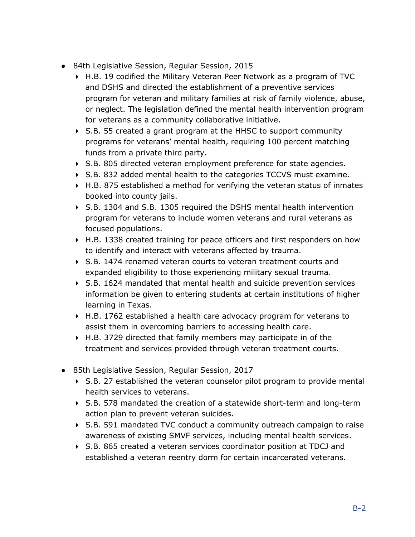- 84th Legislative Session, Regular Session, 2015
	- H.B. 19 codified the Military Veteran Peer Network as a program of TVC and DSHS and directed the establishment of a preventive services program for veteran and military families at risk of family violence, abuse, or neglect. The legislation defined the mental health intervention program for veterans as a community collaborative initiative.
	- S.B. 55 created a grant program at the HHSC to support community programs for veterans' mental health, requiring 100 percent matching funds from a private third party.
	- ▶ S.B. 805 directed veteran employment preference for state agencies.
	- ▶ S.B. 832 added mental health to the categories TCCVS must examine.
	- ▶ H.B. 875 established a method for verifying the veteran status of inmates booked into county jails.
	- ▶ S.B. 1304 and S.B. 1305 required the DSHS mental health intervention program for veterans to include women veterans and rural veterans as focused populations.
	- ▶ H.B. 1338 created training for peace officers and first responders on how to identify and interact with veterans affected by trauma.
	- S.B. 1474 renamed veteran courts to veteran treatment courts and expanded eligibility to those experiencing military sexual trauma.
	- S.B. 1624 mandated that mental health and suicide prevention services information be given to entering students at certain institutions of higher learning in Texas.
	- ▶ H.B. 1762 established a health care advocacy program for veterans to assist them in overcoming barriers to accessing health care.
	- H.B. 3729 directed that family members may participate in of the treatment and services provided through veteran treatment courts.
- 85th Legislative Session, Regular Session, 2017
	- ▶ S.B. 27 established the veteran counselor pilot program to provide mental health services to veterans.
	- S.B. 578 mandated the creation of a statewide short-term and long-term action plan to prevent veteran suicides.
	- ▶ S.B. 591 mandated TVC conduct a community outreach campaign to raise awareness of existing SMVF services, including mental health services.
	- ▶ S.B. 865 created a veteran services coordinator position at TDCJ and established a veteran reentry dorm for certain incarcerated veterans.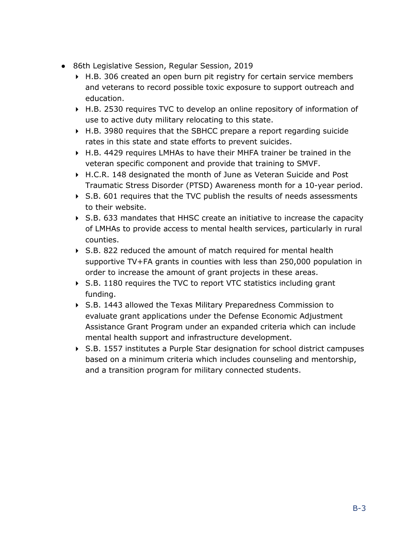- 86th Legislative Session, Regular Session, 2019
	- ▶ H.B. 306 created an open burn pit registry for certain service members and veterans to record possible toxic exposure to support outreach and education.
	- ▶ H.B. 2530 requires TVC to develop an online repository of information of use to active duty military relocating to this state.
	- H.B. 3980 requires that the SBHCC prepare a report regarding suicide rates in this state and state efforts to prevent suicides.
	- H.B. 4429 requires LMHAs to have their MHFA trainer be trained in the veteran specific component and provide that training to SMVF.
	- H.C.R. 148 designated the month of June as Veteran Suicide and Post Traumatic Stress Disorder (PTSD) Awareness month for a 10-year period.
	- ▶ S.B. 601 requires that the TVC publish the results of needs assessments to their website.
	- ▶ S.B. 633 mandates that HHSC create an initiative to increase the capacity of LMHAs to provide access to mental health services, particularly in rural counties.
	- ▶ S.B. 822 reduced the amount of match required for mental health supportive TV+FA grants in counties with less than 250,000 population in order to increase the amount of grant projects in these areas.
	- ▶ S.B. 1180 requires the TVC to report VTC statistics including grant funding.
	- S.B. 1443 allowed the Texas Military Preparedness Commission to evaluate grant applications under the Defense Economic Adjustment Assistance Grant Program under an expanded criteria which can include mental health support and infrastructure development.
	- S.B. 1557 institutes a Purple Star designation for school district campuses based on a minimum criteria which includes counseling and mentorship, and a transition program for military connected students.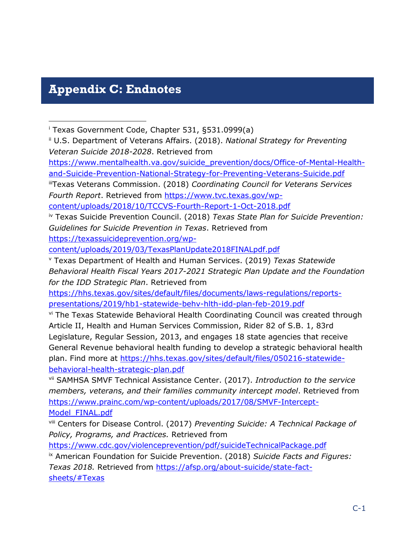#### <span id="page-26-0"></span>**Appendix C: Endnotes**

 $\overline{a}$ 

<sup>i</sup> Texas Government Code, Chapter 531, §531.0999(a)

ii U.S. Department of Veterans Affairs. (2018). *National Strategy for Preventing Veteran Suicide 2018-2028*. Retrieved from

[https://www.mentalhealth.va.gov/suicide\\_prevention/docs/Office-of-Mental-Health](https://www.mentalhealth.va.gov/suicide_prevention/docs/Office-of-Mental-Health-and-Suicide-Prevention-National-Strategy-for-Preventing-Veterans-Suicide.pdf)[and-Suicide-Prevention-National-Strategy-for-Preventing-Veterans-Suicide.pdf](https://www.mentalhealth.va.gov/suicide_prevention/docs/Office-of-Mental-Health-and-Suicide-Prevention-National-Strategy-for-Preventing-Veterans-Suicide.pdf)

iiiTexas Veterans Commission. (2018) *Coordinating Council for Veterans Services Fourth Report*. Retrieved from [https://www.tvc.texas.gov/wp-](https://www.tvc.texas.gov/wp-content/uploads/2018/10/TCCVS-Fourth-Report-1-Oct-2018.pdf)

[content/uploads/2018/10/TCCVS-Fourth-Report-1-Oct-2018.pdf](https://www.tvc.texas.gov/wp-content/uploads/2018/10/TCCVS-Fourth-Report-1-Oct-2018.pdf)

iv Texas Suicide Prevention Council. (2018) *Texas State Plan for Suicide Prevention: Guidelines for Suicide Prevention in Texas*. Retrieved from [https://texassuicideprevention.org/wp-](https://texassuicideprevention.org/wp-content/uploads/2019/03/TexasPlanUpdate2018FINALpdf.pdf)

[content/uploads/2019/03/TexasPlanUpdate2018FINALpdf.pdf](https://texassuicideprevention.org/wp-content/uploads/2019/03/TexasPlanUpdate2018FINALpdf.pdf)

<sup>v</sup> Texas Department of Health and Human Services. (2019) *Texas Statewide Behavioral Health Fiscal Years 2017-2021 Strategic Plan Update and the Foundation for the IDD Strategic Plan*. Retrieved from

[https://hhs.texas.gov/sites/default/files/documents/laws-regulations/reports](https://hhs.texas.gov/sites/default/files/documents/laws-regulations/reports-presentations/2019/hb1-statewide-behv-hlth-idd-plan-feb-2019.pdf)[presentations/2019/hb1-statewide-behv-hlth-idd-plan-feb-2019.pdf](https://hhs.texas.gov/sites/default/files/documents/laws-regulations/reports-presentations/2019/hb1-statewide-behv-hlth-idd-plan-feb-2019.pdf)

vi The Texas Statewide Behavioral Health Coordinating Council was created through Article II, Health and Human Services Commission, Rider 82 of S.B. 1, 83rd Legislature, Regular Session, 2013, and engages 18 state agencies that receive General Revenue behavioral health funding to develop a strategic behavioral health plan. Find more at [https://hhs.texas.gov/sites/default/files/050216-statewide](https://hhs.texas.gov/sites/default/files/050216-statewide-behavioral-health-strategic-plan.pdf)[behavioral-health-strategic-plan.pdf](https://hhs.texas.gov/sites/default/files/050216-statewide-behavioral-health-strategic-plan.pdf)

vii SAMHSA SMVF Technical Assistance Center. (2017). *Introduction to the service members, veterans, and their families community intercept model*. Retrieved from [https://www.prainc.com/wp-content/uploads/2017/08/SMVF-Intercept-](https://www.prainc.com/wp-content/uploads/2017/08/SMVF-Intercept-Model_FINAL.pdf)[Model\\_FINAL.pdf](https://www.prainc.com/wp-content/uploads/2017/08/SMVF-Intercept-Model_FINAL.pdf)

viii Centers for Disease Control. (2017) *Preventing Suicide: A Technical Package of Policy, Programs, and Practices.* Retrieved from

<https://www.cdc.gov/violenceprevention/pdf/suicideTechnicalPackage.pdf>

ix American Foundation for Suicide Prevention. (2018) *Suicide Facts and Figures: Texas 2018.* Retrieved from [https://afsp.org/about-suicide/state-fact](https://afsp.org/about-suicide/state-fact-sheets/#Texas)[sheets/#Texas](https://afsp.org/about-suicide/state-fact-sheets/#Texas)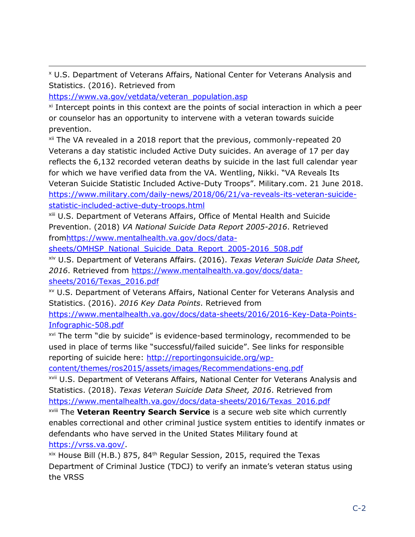<sup>x</sup> U.S. Department of Veterans Affairs, National Center for Veterans Analysis and Statistics. (2016). Retrieved from

[https://www.va.gov/vetdata/veteran\\_population.asp](https://www.va.gov/vetdata/veteran_population.asp)

xi Intercept points in this context are the points of social interaction in which a peer or counselor has an opportunity to intervene with a veteran towards suicide prevention.

xii The VA revealed in a 2018 report that the previous, commonly-repeated 20 Veterans a day statistic included Active Duty suicides. An average of 17 per day reflects the 6,132 recorded veteran deaths by suicide in the last full calendar year for which we have verified data from the VA. Wentling, Nikki. "VA Reveals Its Veteran Suicide Statistic Included Active-Duty Troops". Military.com. 21 June 2018. [https://www.military.com/daily-news/2018/06/21/va-reveals-its-veteran-suicide](https://www.military.com/daily-news/2018/06/21/va-reveals-its-veteran-suicide-statistic-included-active-duty-troops.html)[statistic-included-active-duty-troops.html](https://www.military.com/daily-news/2018/06/21/va-reveals-its-veteran-suicide-statistic-included-active-duty-troops.html)

xiii U.S. Department of Veterans Affairs, Office of Mental Health and Suicide Prevention. (2018) *VA National Suicide Data Report 2005-2016*. Retrieved fro[mhttps://www.mentalhealth.va.gov/docs/data-](https://www.mentalhealth.va.gov/docs/data-sheets/OMHSP_National_Suicide_Data_Report_2005-2016_508.pdf)

[sheets/OMHSP\\_National\\_Suicide\\_Data\\_Report\\_2005-2016\\_508.pdf](https://www.mentalhealth.va.gov/docs/data-sheets/OMHSP_National_Suicide_Data_Report_2005-2016_508.pdf)

xiv U.S. Department of Veterans Affairs. (2016). *Texas Veteran Suicide Data Sheet, 2016*. Retrieved from [https://www.mentalhealth.va.gov/docs/data](https://www.mentalhealth.va.gov/docs/data-sheets/2016/Texas_2016.pdf)[sheets/2016/Texas\\_2016.pdf](https://www.mentalhealth.va.gov/docs/data-sheets/2016/Texas_2016.pdf)

xv U.S. Department of Veterans Affairs, National Center for Veterans Analysis and Statistics. (2016). *2016 Key Data Points*. Retrieved from

[https://www.mentalhealth.va.gov/docs/data-sheets/2016/2016-Key-Data-Points-](https://www.mentalhealth.va.gov/docs/data-sheets/2016/2016-Key-Data-Points-Infographic-508.pdf)[Infographic-508.pdf](https://www.mentalhealth.va.gov/docs/data-sheets/2016/2016-Key-Data-Points-Infographic-508.pdf)

xvi The term "die by suicide" is evidence-based terminology, recommended to be used in place of terms like "successful/failed suicide". See links for responsible reporting of suicide here: [http://reportingonsuicide.org/wp-](http://reportingonsuicide.org/wp-content/themes/ros2015/assets/images/Recommendations-eng.pdf)

[content/themes/ros2015/assets/images/Recommendations-eng.pdf](http://reportingonsuicide.org/wp-content/themes/ros2015/assets/images/Recommendations-eng.pdf)

xvii U.S. Department of Veterans Affairs, National Center for Veterans Analysis and Statistics. (2018). *Texas Veteran Suicide Data Sheet, 2016*. Retrieved from [https://www.mentalhealth.va.gov/docs/data-sheets/2016/Texas\\_2016.pdf](https://www.mentalhealth.va.gov/docs/data-sheets/2016/Texas_2016.pdf)

xviii The **Veteran Reentry Search Service** is a secure web site which currently enables correctional and other criminal justice system entities to identify inmates or defendants who have served in the United States Military found at

[https://vrss.va.gov/.](https://vrss.va.gov/)

xix House Bill (H.B.) 875, 84<sup>th</sup> Regular Session, 2015, required the Texas Department of Criminal Justice (TDCJ) to verify an inmate's veteran status using the VRSS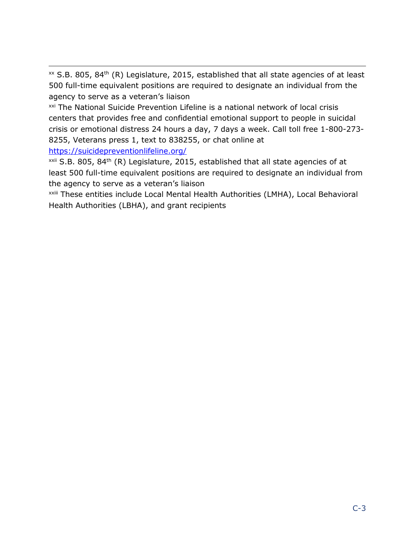$x \times S.B. 805$ ,  $84$ <sup>th</sup> (R) Legislature, 2015, established that all state agencies of at least 500 full-time equivalent positions are required to designate an individual from the agency to serve as a veteran's liaison

xxi The National Suicide Prevention Lifeline is a national network of local crisis centers that provides free and confidential emotional support to people in suicidal crisis or emotional distress 24 hours a day, 7 days a week. Call toll free 1-800-273- 8255, Veterans press 1, text to 838255, or chat online at <https://suicidepreventionlifeline.org/>

xxii S.B. 805, 84<sup>th</sup> (R) Legislature, 2015, established that all state agencies of at least 500 full-time equivalent positions are required to designate an individual from the agency to serve as a veteran's liaison

xxiii These entities include Local Mental Health Authorities (LMHA), Local Behavioral Health Authorities (LBHA), and grant recipients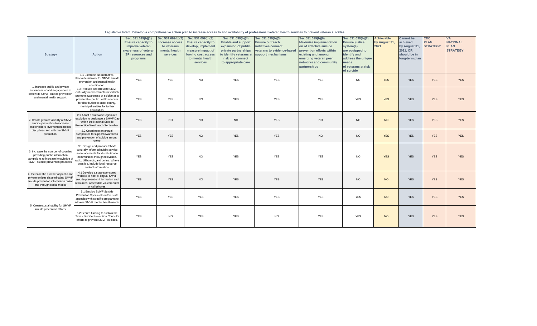| Legislative Intent: Develop a comprehensive action plan to increase access to and availability of professional veteran health services to prevent veteran suicides. |  |  |  |  |  |  |  |  |
|---------------------------------------------------------------------------------------------------------------------------------------------------------------------|--|--|--|--|--|--|--|--|
|                                                                                                                                                                     |  |  |  |  |  |  |  |  |

| <b>Strategy</b>                                                                                                                                   | <b>Action</b>                                                                                                                                                                                                                                | Sec. 531.099(b)(1)<br><b>Ensure capacity to</b><br>improve veteran<br>awareness of veteran<br>SP resources and<br>programs | Sec 531.099(b)(2<br>Increase access<br>to veterans<br>mental health<br>services | Sec 531.099(b)(3)<br><b>Ensure capacity to</b><br>develop, implement<br>measure impact of<br>low/no cost access<br>to mental health<br>services | Sec 531.099(b)(4)<br><b>Enable and support</b><br>expansion of public<br>private partnerships<br>to identify veterans at<br>risk and connect<br>to appropriate care | Sec 531.099(b)(5)<br><b>Ensure outreach</b><br>initiatives connect<br>veterans to evidence-based<br>support mechanisms | Sec 531.099(b)(6)<br><b>Maximize implementation</b><br>on of effective suicide<br>prevention efforts within<br>existing and among<br>emerging veteran peer<br>networks and community<br>partnerships | Sec 531.099(b)(7)<br><b>Ensure justice</b><br>system(s)<br>are equipped to<br>identify and<br>address the unique<br>needs<br>of veterans at risk<br>of suicide | <b>Achievable</b><br>by August 31,<br>2021 | <b>Cannot</b> be<br>achieved<br>by August 31,<br>2021, OR<br>should be in<br>long-term plan | <b>CDC</b><br><b>PLAN</b><br><b>STRATEGY</b> | VA<br><b>NATIONAL</b><br><b>PLAN</b><br><b>STRATEGY</b> |
|---------------------------------------------------------------------------------------------------------------------------------------------------|----------------------------------------------------------------------------------------------------------------------------------------------------------------------------------------------------------------------------------------------|----------------------------------------------------------------------------------------------------------------------------|---------------------------------------------------------------------------------|-------------------------------------------------------------------------------------------------------------------------------------------------|---------------------------------------------------------------------------------------------------------------------------------------------------------------------|------------------------------------------------------------------------------------------------------------------------|------------------------------------------------------------------------------------------------------------------------------------------------------------------------------------------------------|----------------------------------------------------------------------------------------------------------------------------------------------------------------|--------------------------------------------|---------------------------------------------------------------------------------------------|----------------------------------------------|---------------------------------------------------------|
| 1. Increase public and private                                                                                                                    | 1.1 Establish an interactive,<br>statewide network for SMVF suicide<br>prevention and mental health<br>coordination.                                                                                                                         | <b>YES</b>                                                                                                                 | <b>YES</b>                                                                      | <b>NO</b>                                                                                                                                       | <b>YES</b>                                                                                                                                                          | <b>YES</b>                                                                                                             | <b>YES</b>                                                                                                                                                                                           | <b>NO</b>                                                                                                                                                      | <b>YES</b>                                 | <b>YES</b>                                                                                  | <b>YES</b>                                   | <b>YES</b>                                              |
| awareness of and engagement in<br>statewide SMVF suicide prevention<br>and mental health support.                                                 | 1.2 Produce and circulate SMVF<br>culturally-informed materials which<br>promote awareness of suicide as a<br>preventable public health concern<br>for distribution to state, county,<br>municipal entities for further<br>distribution      | <b>YES</b>                                                                                                                 | <b>YES</b>                                                                      | <b>NO</b>                                                                                                                                       | <b>YES</b>                                                                                                                                                          | <b>YES</b>                                                                                                             | <b>YES</b>                                                                                                                                                                                           | <b>YES</b>                                                                                                                                                     | <b>YES</b>                                 | <b>YES</b>                                                                                  | <b>YES</b>                                   | <b>YES</b>                                              |
| 2. Create greater visibility of SMVF<br>suicide prevention to increase<br>stakeholders involvement across                                         | 2.1 Adopt a statewide legislative<br>esolution to designate a SMVF Day<br>within the National Suicide<br>Prevention Week each September.                                                                                                     | <b>YES</b>                                                                                                                 | <b>NO</b>                                                                       | <b>NO</b>                                                                                                                                       | <b>NO</b>                                                                                                                                                           | <b>YES</b>                                                                                                             | <b>NO</b>                                                                                                                                                                                            | <b>NO</b>                                                                                                                                                      | <b>NO</b>                                  | <b>YES</b>                                                                                  | <b>YES</b>                                   | <b>YES</b>                                              |
| disciplines and with the SMVF<br>population.                                                                                                      | 2.2 Coordinate an annual<br>symposium to support awareness<br>and prevention of suicide among<br>SMVF.                                                                                                                                       | <b>YES</b>                                                                                                                 | <b>YES</b>                                                                      | NO                                                                                                                                              | <b>YES</b>                                                                                                                                                          | <b>YES</b>                                                                                                             | <b>NO</b>                                                                                                                                                                                            | <b>NO</b>                                                                                                                                                      | <b>YES</b>                                 | <b>YES</b>                                                                                  | <b>YES</b>                                   | <b>YES</b>                                              |
| 3. Increase the number of counties<br>providing public information<br>campaigns to increase knowledge of<br>SMVF suicide prevention practices.    | 3.1 Design and produce SMVF<br>culturally-informed public service<br>announcements for distribution to<br>communities through television,<br>adio, billboards, and online. Where<br>possible, include local resource<br>contact information. | <b>YES</b>                                                                                                                 | <b>YES</b>                                                                      | <b>NO</b>                                                                                                                                       | <b>YES</b>                                                                                                                                                          | <b>YES</b>                                                                                                             | <b>YES</b>                                                                                                                                                                                           | <b>NO</b>                                                                                                                                                      | <b>YES</b>                                 | <b>YES</b>                                                                                  | <b>YES</b>                                   | <b>YES</b>                                              |
| 4. Increase the number of public and<br>private entities disseminating SMVF<br>suicide prevention information online<br>and through social media. | 4.1 Develop a state-sponsored<br>website to host bi-lingual SMVF<br>suicide prevention information and<br>resources, accessible via computer<br>or cell phones.                                                                              | <b>YES</b>                                                                                                                 | <b>YES</b>                                                                      | <b>NO</b>                                                                                                                                       | <b>YES</b>                                                                                                                                                          | <b>YES</b>                                                                                                             | <b>YES</b>                                                                                                                                                                                           | <b>NO</b>                                                                                                                                                      | <b>NO</b>                                  | <b>YES</b>                                                                                  | <b>YES</b>                                   | <b>YES</b>                                              |
| 5. Create sustainability for SMVF                                                                                                                 | 5.1 Employ SMVF Suicide<br>Prevention Specialists within state<br>agencies with specific programs to<br>address SMVF mental health needs                                                                                                     | <b>YES</b>                                                                                                                 | <b>YES</b>                                                                      | <b>YES</b>                                                                                                                                      | <b>YES</b>                                                                                                                                                          | <b>YES</b>                                                                                                             | <b>YES</b>                                                                                                                                                                                           | <b>YES</b>                                                                                                                                                     | <b>NO</b>                                  | <b>YES</b>                                                                                  | <b>YES</b>                                   | <b>YES</b>                                              |
| suicide prevention efforts.                                                                                                                       | 5.2 Secure funding to sustain the<br><b>Texas Suicide Prevention Council's</b><br>efforts to prevent SMVF suicides.                                                                                                                          | <b>YES</b>                                                                                                                 | <b>NO</b>                                                                       | <b>YES</b>                                                                                                                                      | <b>YES</b>                                                                                                                                                          | <b>NO</b>                                                                                                              | <b>YES</b>                                                                                                                                                                                           | <b>YES</b>                                                                                                                                                     | <b>NO</b>                                  | <b>YES</b>                                                                                  | <b>YES</b>                                   | <b>YES</b>                                              |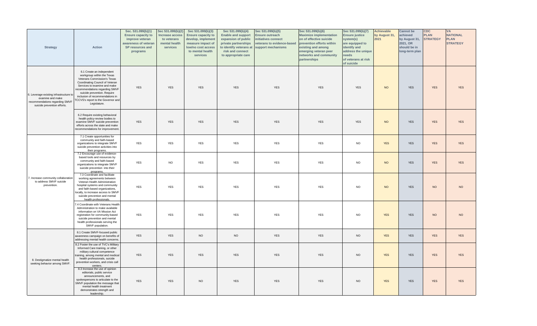| <b>Strategy</b>                                                                                                             | <b>Action</b>                                                                                                                                                                                                                                                                                                              | Sec. 531.099(b)(1)<br><b>Ensure capacity to</b><br>improve veteran<br>awareness of veteran<br>SP resources and<br>programs | Sec 531.099(b)(2)<br><b>Increase access</b><br>to veterans<br>mental health<br>services | Sec 531.099(b)(3)<br><b>Ensure capacity to</b><br>develop, implement<br>measure impact of<br>low/no cost access<br>to mental health<br>services | Sec 531.099(b)(4)<br><b>Enable and support</b><br>expansion of public<br>private partnerships<br>to identify veterans at<br>risk and connect<br>to appropriate care | Sec 531.099(b)(5)<br><b>Ensure outreach</b><br>nitiatives connect<br>veterans to evidence-based<br>support mechanisms | Sec 531.099(b)(6)<br><b>Maximize implementation</b><br>on of effective suicide<br>prevention efforts within<br>existing and among<br>emerging veteran peer<br>networks and community<br>partnerships | Sec 531.099(b)(7)<br><b>Ensure justice</b><br>system(s)<br>are equipped to<br>identify and<br>address the unique<br>needs<br>of veterans at risk<br>of suicide | <b>Achievable</b><br>by August 31,<br>2021 | <b>Cannot be</b><br>achieved<br>by August 31,<br>2021, OR<br>should be in<br>long-term plan | <b>CDC</b><br><b>PLAN</b><br><b>STRATEGY</b> | VA<br><b>NATIONAL</b><br><b>PLAN</b><br><b>STRATEGY</b> |
|-----------------------------------------------------------------------------------------------------------------------------|----------------------------------------------------------------------------------------------------------------------------------------------------------------------------------------------------------------------------------------------------------------------------------------------------------------------------|----------------------------------------------------------------------------------------------------------------------------|-----------------------------------------------------------------------------------------|-------------------------------------------------------------------------------------------------------------------------------------------------|---------------------------------------------------------------------------------------------------------------------------------------------------------------------|-----------------------------------------------------------------------------------------------------------------------|------------------------------------------------------------------------------------------------------------------------------------------------------------------------------------------------------|----------------------------------------------------------------------------------------------------------------------------------------------------------------|--------------------------------------------|---------------------------------------------------------------------------------------------|----------------------------------------------|---------------------------------------------------------|
| 6. Leverage existing infrastructure to<br>examine and make<br>recommendations regarding SMVF<br>suicide prevention efforts. | 6.1 Create an independent<br>workgroup within the Texas<br>Veterans Commission's Texas<br>Coordinating Council of Veteran<br>Services to examine and make<br>recommendations regarding SMVF<br>suicide prevention. Require<br>inclusion of recommendations in<br><b>FCCVS's report to the Governor and</b><br>Legislature. | <b>YES</b>                                                                                                                 | <b>YES</b>                                                                              | <b>YES</b>                                                                                                                                      | <b>YES</b>                                                                                                                                                          | <b>YES</b>                                                                                                            | <b>YES</b>                                                                                                                                                                                           | <b>YES</b>                                                                                                                                                     | <b>NO</b>                                  | <b>YES</b>                                                                                  | <b>YES</b>                                   | <b>YES</b>                                              |
|                                                                                                                             | 6.2 Require existing behavioral<br>health policy-review bodies to<br>examine SMVF suicide prevention<br>efforts across the state and make<br>recommendations for improvement                                                                                                                                               | <b>YES</b>                                                                                                                 | <b>YES</b>                                                                              | <b>YES</b>                                                                                                                                      | <b>YES</b>                                                                                                                                                          | <b>YES</b>                                                                                                            | <b>YES</b>                                                                                                                                                                                           | <b>YES</b>                                                                                                                                                     | <b>NO</b>                                  | <b>YES</b>                                                                                  | <b>YES</b>                                   | <b>YES</b>                                              |
|                                                                                                                             | 7.1 Create opportunities for<br>community and faith-based<br>organizations to integrate SMVF<br>suicide prevention activities into<br>their programs.                                                                                                                                                                      | <b>YES</b>                                                                                                                 | <b>YES</b>                                                                              | <b>YES</b>                                                                                                                                      | YES                                                                                                                                                                 | <b>YES</b>                                                                                                            | <b>YES</b>                                                                                                                                                                                           | <b>NO</b>                                                                                                                                                      | <b>YES</b>                                 | <b>YES</b>                                                                                  | <b>YES</b>                                   | <b>YES</b>                                              |
|                                                                                                                             | 7.2 Encourage use of evidence-<br>based tools and resources by<br>community and faith-based<br>organizations to integrate SMVF<br>suicide prevention into their<br>programs.                                                                                                                                               | <b>YES</b>                                                                                                                 | <b>NO</b>                                                                               | <b>YES</b>                                                                                                                                      | <b>YES</b>                                                                                                                                                          | <b>YES</b>                                                                                                            | <b>YES</b>                                                                                                                                                                                           | <b>NO</b>                                                                                                                                                      | <b>NO</b>                                  | <b>YES</b>                                                                                  | <b>YES</b>                                   | <b>YES</b>                                              |
| 7. Increase community collaboration<br>to address SMVF suicide<br>prevention.                                               | 7.3 Coordinate and facilitate<br>working agreements between<br>Veteran Health Administration<br>hospital systems and community<br>and faith-based organizations,<br>locally, to increase access to SMVF<br>suicide prevention and mental<br>health professionals.                                                          | <b>YES</b>                                                                                                                 | <b>YES</b>                                                                              | <b>YES</b>                                                                                                                                      | <b>YES</b>                                                                                                                                                          | <b>YES</b>                                                                                                            | <b>YES</b>                                                                                                                                                                                           | <b>NO</b>                                                                                                                                                      | <b>NO</b>                                  | <b>YES</b>                                                                                  | <b>NO</b>                                    | <b>NO</b>                                               |
|                                                                                                                             | 7.4 Coordinate with Veterans Health<br>Administration to make available<br>information on VA Mission Act<br>registration for community-based<br>suicide prevention and mental<br>health professionals serving the<br>SMVF population.                                                                                      | <b>YES</b>                                                                                                                 | <b>YES</b>                                                                              | <b>YES</b>                                                                                                                                      | <b>YES</b>                                                                                                                                                          | <b>YES</b>                                                                                                            | <b>YES</b>                                                                                                                                                                                           | <b>NO</b>                                                                                                                                                      | <b>YES</b>                                 | <b>YES</b>                                                                                  | <b>NO</b>                                    | <b>NO</b>                                               |
|                                                                                                                             | 8.1 Create SMVF-focused public<br>awareness campaign on benefits of<br>addressing mental health concerns                                                                                                                                                                                                                   | <b>YES</b>                                                                                                                 | <b>YES</b>                                                                              | <b>NO</b>                                                                                                                                       | <b>NO</b>                                                                                                                                                           | <b>YES</b>                                                                                                            | <b>YES</b>                                                                                                                                                                                           | <b>NO</b>                                                                                                                                                      | <b>YES</b>                                 | <b>YES</b>                                                                                  | <b>YES</b>                                   | <b>YES</b>                                              |
| 8. Destigmatize mental health<br>seeking behavior among SMVF.                                                               | 8.2 Foster the use of TVC's Military<br>Informed Care training, or other<br>military cultural competence<br>training, among mental and medical<br>health professionals, suicide<br>prevention workers, and crisis call<br>centers.                                                                                         | <b>YES</b>                                                                                                                 | <b>YES</b>                                                                              | <b>YES</b>                                                                                                                                      | <b>YES</b>                                                                                                                                                          | <b>YES</b>                                                                                                            | <b>YES</b>                                                                                                                                                                                           | <b>NO</b>                                                                                                                                                      | <b>YES</b>                                 | <b>YES</b>                                                                                  | <b>YES</b>                                   | <b>YES</b>                                              |
|                                                                                                                             | 8.3 Increase the use of opinion<br>editorials, public service<br>announcements, and<br>spokespersons to articulate to the<br>SMVF population the message that<br>mental health treatment<br>demonstrates strength and<br>leadership.                                                                                       | <b>YES</b>                                                                                                                 | <b>YES</b>                                                                              | <b>NO</b>                                                                                                                                       | <b>YES</b>                                                                                                                                                          | <b>YES</b>                                                                                                            | <b>YES</b>                                                                                                                                                                                           | <b>NO</b>                                                                                                                                                      | <b>YES</b>                                 | <b>YES</b>                                                                                  | <b>YES</b>                                   | <b>YES</b>                                              |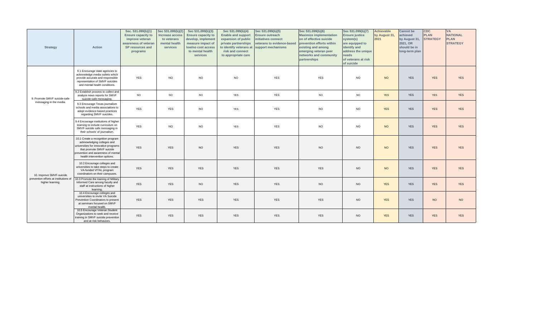| <b>Strategy</b>                                           | <b>Action</b>                                                                                                                                                                                              | Sec. 531.099(b)(1)<br><b>Ensure capacity to</b><br>improve veteran<br>awareness of veteran<br>SP resources and<br>programs | Sec 531.099(b)(2)<br>Increase access<br>to veterans<br>mental health<br>services | Sec 531.099(b)(3)<br><b>Ensure capacity to</b><br>develop, implement<br>measure impact of<br>low/no cost access<br>to mental health<br>services | Sec 531.099(b)(4)<br><b>Enable and support</b><br>expansion of public<br>private partnerships<br>to identify veterans at<br>risk and connect<br>to appropriate care | Sec 531.099(b)(5)<br><b>Ensure outreach</b><br>nitiatives connect<br>veterans to evidence-based<br>support mechanisms | Sec 531.099(b)(6)<br><b>Maximize implementation</b><br>on of effective suicide<br>prevention efforts within<br>existing and among<br>emerging veteran peer<br>networks and community<br>partnerships | Sec 531.099(b)(7)<br><b>Ensure justice</b><br>system(s)<br>are equipped to<br>identify and<br>address the unique<br>needs<br>of veterans at risk<br>of suicide | Achievable<br>by August 31,<br>2021 | <b>Cannot</b> be<br>achieved<br>by August 31,<br>2021, OR<br>should be in<br>long-term plan | <b>CDC</b><br><b>PLAN</b><br><b>STRATEGY</b> | <b>VA</b><br><b>NATIONAL</b><br><b>PLAN</b><br><b>STRATEGY</b> |
|-----------------------------------------------------------|------------------------------------------------------------------------------------------------------------------------------------------------------------------------------------------------------------|----------------------------------------------------------------------------------------------------------------------------|----------------------------------------------------------------------------------|-------------------------------------------------------------------------------------------------------------------------------------------------|---------------------------------------------------------------------------------------------------------------------------------------------------------------------|-----------------------------------------------------------------------------------------------------------------------|------------------------------------------------------------------------------------------------------------------------------------------------------------------------------------------------------|----------------------------------------------------------------------------------------------------------------------------------------------------------------|-------------------------------------|---------------------------------------------------------------------------------------------|----------------------------------------------|----------------------------------------------------------------|
|                                                           | 9.1 Encourage state agencies to<br>acknowledge media outlets which<br>provide accurate and responsible<br>representation of SMVF suicides<br>and mental health conditions.                                 | <b>YES</b>                                                                                                                 | <b>NO</b>                                                                        | <b>NO</b>                                                                                                                                       | <b>NO</b>                                                                                                                                                           | <b>YES</b>                                                                                                            | <b>YES</b>                                                                                                                                                                                           | <b>NO</b>                                                                                                                                                      | <b>NO</b>                           | <b>YES</b>                                                                                  | <b>YES</b>                                   | <b>YES</b>                                                     |
| 9. Promote SMVF suicide-safe                              | 9.2 Establish process to collect and<br>analyze news reports for SMVF<br>suicide-safe messaging.                                                                                                           | <b>NO</b>                                                                                                                  | <b>NO</b>                                                                        | <b>NO</b>                                                                                                                                       | <b>YES</b>                                                                                                                                                          | <b>YES</b>                                                                                                            | <b>NO</b>                                                                                                                                                                                            | <b>NO</b>                                                                                                                                                      | <b>YES</b>                          | <b>YES</b>                                                                                  | <b>YES</b>                                   | <b>YES</b>                                                     |
| messaging in the media.                                   | 9.3 Encourage Texas journalism<br>schools and media associations to<br>adopt evidence-based practices<br>regarding SMVF suicides.                                                                          | <b>YES</b>                                                                                                                 | <b>YES</b>                                                                       | <b>NO</b>                                                                                                                                       | <b>YES</b>                                                                                                                                                          | <b>YES</b>                                                                                                            | <b>NO</b>                                                                                                                                                                                            | <b>NO</b>                                                                                                                                                      | <b>YES</b>                          | <b>YES</b>                                                                                  | <b>YES</b>                                   | <b>YES</b>                                                     |
|                                                           | 9.4 Encourage institutions of higher<br>learning to include curriculum on<br>SMVF-suicide safe messaging in<br>their schools' of journalism.                                                               | <b>YES</b>                                                                                                                 | <b>NO</b>                                                                        | <b>NO</b>                                                                                                                                       | <b>YES</b>                                                                                                                                                          | <b>YES</b>                                                                                                            | <b>NO</b>                                                                                                                                                                                            | <b>NO</b>                                                                                                                                                      | <b>NO</b>                           | <b>YES</b>                                                                                  | <b>YES</b>                                   | <b>YES</b>                                                     |
|                                                           | 10.1 Create a recognition program<br>acknowledging colleges and<br>universities for innovative programs<br>that promote SMVF suicide<br>prevention and awareness of mental<br>health intervention options. | <b>YES</b>                                                                                                                 | <b>YES</b>                                                                       | <b>NO</b>                                                                                                                                       | <b>YES</b>                                                                                                                                                          | <b>YES</b>                                                                                                            | <b>NO</b>                                                                                                                                                                                            | <b>NO</b>                                                                                                                                                      | <b>NO</b>                           | <b>YES</b>                                                                                  | <b>YES</b>                                   | <b>YES</b>                                                     |
| 10. Improve SMVF-suicide                                  | 10.2 Encourage colleges and<br>universities to take steps to create<br>VA-funded VITAL program<br>coordinators on their campuses.                                                                          | <b>YES</b>                                                                                                                 | <b>YES</b>                                                                       | <b>YES</b>                                                                                                                                      | <b>YES</b>                                                                                                                                                          | <b>YES</b>                                                                                                            | <b>YES</b>                                                                                                                                                                                           | <b>NO</b>                                                                                                                                                      | <b>NO</b>                           | <b>YES</b>                                                                                  | <b>YES</b>                                   | <b>YES</b>                                                     |
| prevention efforts at institutions of<br>higher learning. | 10.3 Promote the training of Military<br>Informed Care among faculty and<br>staff at instructions of higher<br>learning.                                                                                   | <b>YES</b>                                                                                                                 | <b>YES</b>                                                                       | <b>NO</b>                                                                                                                                       | <b>YES</b>                                                                                                                                                          | <b>YES</b>                                                                                                            | <b>NO</b>                                                                                                                                                                                            | <b>NO</b>                                                                                                                                                      | <b>YES</b>                          | <b>YES</b>                                                                                  | <b>YES</b>                                   | <b>YES</b>                                                     |
|                                                           | 10.4 Encourage colleges and<br>universities to invite VA Suicide<br>Prevention Coordinators to present<br>at seminars focused on SMVF<br>mental health.                                                    | <b>YES</b>                                                                                                                 | <b>YES</b>                                                                       | <b>YES</b>                                                                                                                                      | <b>YES</b>                                                                                                                                                          | <b>YES</b>                                                                                                            | <b>YES</b>                                                                                                                                                                                           | <b>NO</b>                                                                                                                                                      | <b>YES</b>                          | <b>YES</b>                                                                                  | <b>NO</b>                                    | <b>NO</b>                                                      |
|                                                           | 10.5 Encourage Veteran Student<br>Organizations to seek and receive<br>training in SMVF suicide prevention<br>and at-risk behaviors.                                                                       | <b>YES</b>                                                                                                                 | <b>YES</b>                                                                       | <b>YES</b>                                                                                                                                      | <b>YES</b>                                                                                                                                                          | <b>YES</b>                                                                                                            | <b>YES</b>                                                                                                                                                                                           | <b>NO</b>                                                                                                                                                      | <b>YES</b>                          | <b>YES</b>                                                                                  | <b>YES</b>                                   | <b>YES</b>                                                     |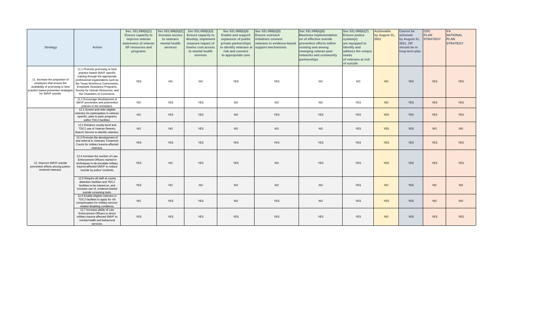| <b>Strategy</b>                                                                                                                                               | <b>Action</b>                                                                                                                                                                                                                                                                 | Sec. 531.099(b)(1)<br><b>Ensure capacity to</b><br>improve veteran<br>awareness of veteran<br>SP resources and<br>programs | Sec 531.099(b)(2)<br>Increase access<br>to veterans<br>mental health<br>services | Sec 531.099(b)(3)<br><b>Ensure capacity to</b><br>develop, implement<br>measure impact of<br>low/no cost access<br>to mental health<br>services | Sec 531.099(b)(4)<br><b>Enable and support</b><br>expansion of public<br>private partnerships<br>to identify veterans at<br>risk and connect<br>to appropriate care | Sec 531.099(b)(5)<br><b>Ensure outreach</b><br>initiatives connect<br>veterans to evidence-based<br>support mechanisms | Sec 531.099(b)(6)<br><b>Maximize implementation</b><br>on of effective suicide<br>prevention efforts within<br>existing and among<br>emerging veteran peer<br>networks and community<br>partnerships | Sec 531.099(b)(7)<br><b>Ensure justice</b><br>system(s)<br>are equipped to<br>identify and<br>address the unique<br>eeds<br>of veterans at risk<br>of suicide | Achievable<br>by August 31,<br>2021 | <b>Cannot</b> be<br>achieved<br>by August 31,<br>2021, OR<br>should be in<br>long-term plan | <b>CDC</b><br><b>PLAN</b><br><b>STRATEGY</b> | VA<br><b>NATIONAL</b><br><b>PLAN</b><br><b>STRATEGY</b> |
|---------------------------------------------------------------------------------------------------------------------------------------------------------------|-------------------------------------------------------------------------------------------------------------------------------------------------------------------------------------------------------------------------------------------------------------------------------|----------------------------------------------------------------------------------------------------------------------------|----------------------------------------------------------------------------------|-------------------------------------------------------------------------------------------------------------------------------------------------|---------------------------------------------------------------------------------------------------------------------------------------------------------------------|------------------------------------------------------------------------------------------------------------------------|------------------------------------------------------------------------------------------------------------------------------------------------------------------------------------------------------|---------------------------------------------------------------------------------------------------------------------------------------------------------------|-------------------------------------|---------------------------------------------------------------------------------------------|----------------------------------------------|---------------------------------------------------------|
| 11. Increase the proportion of<br>employers that ensure the<br>availability of promising or best<br>practice based prevention strategies<br>for SMVF suicide. | 11.1 Promote promising or best<br>practice based SMVF specific<br>training through the appropriate<br>professional organizations such as<br>the Texas Workforce Commission,<br>Employee Assistance Programs,<br>Society for Human Resources, and<br>the Chambers of Commerce. | <b>YES</b>                                                                                                                 | <b>NO</b>                                                                        | <b>NO</b>                                                                                                                                       | <b>YES</b>                                                                                                                                                          | <b>YES</b>                                                                                                             | <b>NO</b>                                                                                                                                                                                            | <b>NO</b>                                                                                                                                                     | <b>NO</b>                           | <b>YES</b>                                                                                  | <b>YES</b>                                   | <b>YES</b>                                              |
|                                                                                                                                                               | 11.2 Encourage development of<br>SMVF prevention and postvention<br>policies in the workplace.                                                                                                                                                                                | <b>NO</b>                                                                                                                  | YES                                                                              | <b>YES</b>                                                                                                                                      | <b>NO</b>                                                                                                                                                           | <b>NO</b>                                                                                                              | <b>NO</b>                                                                                                                                                                                            | YES                                                                                                                                                           | <b>NO</b>                           | <b>YES</b>                                                                                  | <b>YES</b>                                   | <b>YES</b>                                              |
|                                                                                                                                                               | 12.1 Screen and refer eligible<br>veterans for participation in veteran-<br>specific, peer-to-peer programs<br>within TDCJ facilities.                                                                                                                                        | <b>NO</b>                                                                                                                  | <b>YES</b>                                                                       | <b>YES</b>                                                                                                                                      | <b>NO</b>                                                                                                                                                           | <b>YES</b>                                                                                                             | <b>YES</b>                                                                                                                                                                                           | <b>YES</b>                                                                                                                                                    | <b>YES</b>                          | <b>YES</b>                                                                                  | <b>YES</b>                                   | <b>YES</b>                                              |
|                                                                                                                                                               | 12.2 Enhance county-level and<br>TDCJ use of Veteran Reentry<br>Search Service to identify veterans                                                                                                                                                                           | <b>NO</b>                                                                                                                  | <b>NO</b>                                                                        | <b>YES</b>                                                                                                                                      | <b>NO</b>                                                                                                                                                           | <b>NO</b>                                                                                                              | <b>NO</b>                                                                                                                                                                                            | <b>YES</b>                                                                                                                                                    | <b>YES</b>                          | <b>YES</b>                                                                                  | <b>NO</b>                                    | <b>NO</b>                                               |
|                                                                                                                                                               | 12.3 Promote the development of<br>and referral to Veterans Treatment<br>Courts for military trauma-affected<br>veterans.                                                                                                                                                     | <b>YES</b>                                                                                                                 | <b>YES</b>                                                                       | <b>YES</b>                                                                                                                                      | <b>YES</b>                                                                                                                                                          | YES                                                                                                                    | <b>YES</b>                                                                                                                                                                                           | <b>YES</b>                                                                                                                                                    | <b>YES</b>                          | <b>YES</b>                                                                                  | <b>YES</b>                                   | <b>YES</b>                                              |
| 12. Improve SMVF suicide<br>prevention efforts among justice-<br>involved veterans.                                                                           | 12.4 Increase the number of Law<br>Enforcement Officers trained in<br>techniques to de-escalate military<br>trauma-affected SMVF to reduce<br>'suicide by police' incidents.                                                                                                  | <b>YES</b>                                                                                                                 | <b>NO</b>                                                                        | <b>YES</b>                                                                                                                                      | <b>YES</b>                                                                                                                                                          | <b>NO</b>                                                                                                              | <b>YES</b>                                                                                                                                                                                           | <b>YES</b>                                                                                                                                                    | <b>YES</b>                          | <b>YES</b>                                                                                  | <b>YES</b>                                   | <b>YES</b>                                              |
|                                                                                                                                                               | 12.5 Require all staff at county<br>detention facilities and TDCJ<br>facilities to be trained on, and<br>increase use of, evidence-based<br>suicide screening tools.                                                                                                          | <b>YES</b>                                                                                                                 | <b>NO</b>                                                                        | <b>NO</b>                                                                                                                                       | <b>NO</b>                                                                                                                                                           | <b>NO</b>                                                                                                              | <b>NO</b>                                                                                                                                                                                            | <b>YES</b>                                                                                                                                                    | <b>NO</b>                           | <b>YES</b>                                                                                  | <b>NO</b>                                    | <b>NO</b>                                               |
|                                                                                                                                                               | 12.6 Enable eligible veterans in<br>TDCJ facilities to apply for VA<br>compensation for military service-<br>related disabling conditions.                                                                                                                                    | <b>NO</b>                                                                                                                  | <b>YES</b>                                                                       | <b>YES</b>                                                                                                                                      | <b>NO</b>                                                                                                                                                           | <b>YES</b>                                                                                                             | <b>NO</b>                                                                                                                                                                                            | <b>YES</b>                                                                                                                                                    | <b>YES</b>                          | <b>YES</b>                                                                                  | <b>NO</b>                                    | <b>NO</b>                                               |
|                                                                                                                                                               | 12.7 Increase ability of Law<br>Enforcement Officers to divert<br>military trauma affected SMVF to<br>mental health and behavioral<br>services.                                                                                                                               | <b>YES</b>                                                                                                                 | <b>YES</b>                                                                       | <b>YES</b>                                                                                                                                      | <b>YES</b>                                                                                                                                                          | <b>YES</b>                                                                                                             | YES                                                                                                                                                                                                  | <b>YES</b>                                                                                                                                                    | <b>NO</b>                           | <b>YES</b>                                                                                  | <b>YES</b>                                   | <b>YES</b>                                              |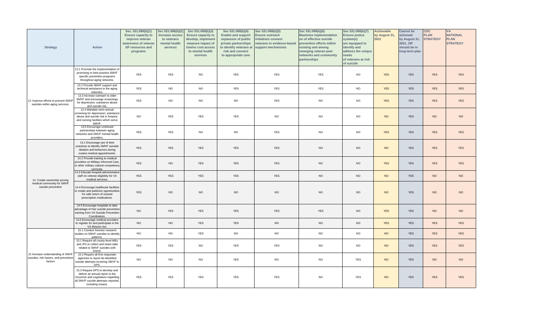| <b>Strategy</b>                                                                        | Action                                                                                                                                                              | Sec. 531.099(b)(1)<br><b>Ensure capacity to</b><br>improve veteran<br>awareness of veteran<br>SP resources and<br>programs | Sec 531.099(b)(2)<br>Increase access<br>to veterans<br>mental health<br>services | Sec 531.099(b)(3)<br><b>Ensure capacity to</b><br>develop, implement<br>measure impact of<br>low/no cost access<br>to mental health<br>services | Sec 531.099(b)(4)<br><b>Enable and support</b><br>expansion of public<br>private partnerships<br>to identify veterans at<br>risk and connect<br>to appropriate care | Sec 531.099(b)(5)<br><b>Ensure outreach</b><br>initiatives connect<br>veterans to evidence-based<br>support mechanisms | Sec 531.099(b)(6)<br><b>Maximize implementation</b><br>on of effective suicide<br>prevention efforts within<br>existing and among<br>emerging veteran peer<br>networks and community<br>partnerships | Sec 531.099(b)(7)<br><b>Ensure justice</b><br>system(s)<br>are equipped to<br>identify and<br>address the unique<br>needs<br>of veterans at risk<br>of suicide | <b>Achievable</b><br>by August 31,<br>2021 | <b>Cannot</b> be<br>achieved<br>by August 31,<br>2021, OR<br>should be in<br>long-term plan | <b>CDC</b><br><b>PLAN</b><br><b>STRATEGY</b> | <b>VA</b><br><b>NATIONAL</b><br><b>PLAN</b><br><b>STRATEGY</b> |
|----------------------------------------------------------------------------------------|---------------------------------------------------------------------------------------------------------------------------------------------------------------------|----------------------------------------------------------------------------------------------------------------------------|----------------------------------------------------------------------------------|-------------------------------------------------------------------------------------------------------------------------------------------------|---------------------------------------------------------------------------------------------------------------------------------------------------------------------|------------------------------------------------------------------------------------------------------------------------|------------------------------------------------------------------------------------------------------------------------------------------------------------------------------------------------------|----------------------------------------------------------------------------------------------------------------------------------------------------------------|--------------------------------------------|---------------------------------------------------------------------------------------------|----------------------------------------------|----------------------------------------------------------------|
|                                                                                        | 13.1 Promote the implementation of<br>promising or best practice SMVF<br>specific prevention programs<br>throughout aging networks.                                 | <b>YES</b>                                                                                                                 | YES                                                                              | $NO$                                                                                                                                            | <b>YES</b>                                                                                                                                                          | <b>YES</b>                                                                                                             | YES                                                                                                                                                                                                  | <b>NO</b>                                                                                                                                                      | <b>YES</b>                                 | <b>YES</b>                                                                                  | <b>YES</b>                                   | <b>YES</b>                                                     |
|                                                                                        | 13.2 Provide SMVF support and<br>technical assistance to the aging<br>networks.                                                                                     | <b>YES</b>                                                                                                                 | <b>NO</b>                                                                        | <b>NO</b>                                                                                                                                       | <b>YES</b>                                                                                                                                                          | <b>YES</b>                                                                                                             | <b>YES</b>                                                                                                                                                                                           | <b>NO</b>                                                                                                                                                      | <b>YES</b>                                 | <b>YES</b>                                                                                  | <b>YES</b>                                   | <b>YES</b>                                                     |
| 13. Improve efforts to prevent SMVF<br>suicides within aging services.                 | 13.3 Increase outreach to older<br>SMVF and encourage screenings<br>for depression, substance abuse<br>and suicide risk.                                            | <b>YES</b>                                                                                                                 | <b>NO</b>                                                                        | <b>NO</b>                                                                                                                                       | <b>NO</b>                                                                                                                                                           | <b>YES</b>                                                                                                             | <b>NO</b>                                                                                                                                                                                            | <b>NO</b>                                                                                                                                                      | <b>YES</b>                                 | <b>YES</b>                                                                                  | <b>YES</b>                                   | <b>YES</b>                                                     |
|                                                                                        | 13.4 Mandate semi-annual<br>screening for depression, substance<br>abuse and suicide risk in hospice<br>and nursing facilities which serve<br>SMVF.                 | <b>NO</b>                                                                                                                  | <b>YES</b>                                                                       | <b>YES</b>                                                                                                                                      | <b>YES</b>                                                                                                                                                          | <b>NO</b>                                                                                                              | <b>NO</b>                                                                                                                                                                                            | <b>NO</b>                                                                                                                                                      | <b>NO</b>                                  | <b>YES</b>                                                                                  | <b>NO</b>                                    | <b>NO</b>                                                      |
|                                                                                        | 13.5 Encourage continued<br>partnerships between aging<br>networks and SMVF mental health<br>providers.                                                             | <b>YES</b>                                                                                                                 | <b>YES</b>                                                                       | <b>NO</b>                                                                                                                                       | <b>NO</b>                                                                                                                                                           | <b>YES</b>                                                                                                             | <b>NO</b>                                                                                                                                                                                            | <b>NO</b>                                                                                                                                                      | <b>YES</b>                                 | <b>YES</b>                                                                                  | <b>YES</b>                                   | <b>YES</b>                                                     |
|                                                                                        | 14.1 Encourage use of best<br>practices to identify SMVF suicidal<br>ideation and behaviors during<br>routine medical appointments.                                 | <b>YES</b>                                                                                                                 | <b>YES</b>                                                                       | YES                                                                                                                                             | YES                                                                                                                                                                 | <b>YES</b>                                                                                                             | <b>NO</b>                                                                                                                                                                                            | <b>NO</b>                                                                                                                                                      | <b>NO</b>                                  | <b>YES</b>                                                                                  | <b>YES</b>                                   | <b>YES</b>                                                     |
|                                                                                        | 14.2 Provide training to medical<br>providers on Military Informed Care,<br>or other military cultural competency<br>curricula.                                     | <b>YES</b>                                                                                                                 | <b>NO</b>                                                                        | <b>YES</b>                                                                                                                                      | <b>YES</b>                                                                                                                                                          | <b>YES</b>                                                                                                             | <b>NO</b>                                                                                                                                                                                            | <b>NO</b>                                                                                                                                                      | <b>YES</b>                                 | <b>YES</b>                                                                                  | <b>YES</b>                                   | <b>YES</b>                                                     |
| 14. Create ownership among                                                             | 14.3 Educate hospital administrative<br>staff on veteran eligibility for VA<br>medical services.                                                                    | <b>YES</b>                                                                                                                 | <b>YES</b>                                                                       | YES                                                                                                                                             | <b>YES</b>                                                                                                                                                          | <b>YES</b>                                                                                                             | <b>NO</b>                                                                                                                                                                                            | <b>NO</b>                                                                                                                                                      | <b>NO</b>                                  | <b>YES</b>                                                                                  | <b>NO</b>                                    | <b>NO</b>                                                      |
| medical community for SMVF<br>suicide prevention                                       | 14.4 Encourage healthcare facilities<br>to create and publicize opportunities<br>for safe return of unused<br>prescription medications.                             | <b>YES</b>                                                                                                                 | <b>NO</b>                                                                        | <b>NO</b>                                                                                                                                       | <b>NO</b>                                                                                                                                                           | <b>NO</b>                                                                                                              | <b>NO</b>                                                                                                                                                                                            | <b>NO</b>                                                                                                                                                      | <b>NO</b>                                  | <b>YES</b>                                                                                  | <b>NO</b>                                    | NO                                                             |
|                                                                                        | 14.5 Encourage hospitals to take<br>advantage of free suicide prevention<br>training from VA Suicide Prevention<br>Coordinators.                                    | <b>NO</b>                                                                                                                  | <b>YES</b>                                                                       | <b>YES</b>                                                                                                                                      | <b>YES</b>                                                                                                                                                          | <b>YES</b>                                                                                                             | <b>YES</b>                                                                                                                                                                                           | <b>NO</b>                                                                                                                                                      | <b>YES</b>                                 | <b>YES</b>                                                                                  | <b>NO</b>                                    | <b>NO</b>                                                      |
|                                                                                        | 14.6 Encourage medical providers<br>to register for and participate in the<br>VA Mission Act.                                                                       | <b>NO</b>                                                                                                                  | <b>NO</b>                                                                        | <b>YES</b>                                                                                                                                      | <b>YES</b>                                                                                                                                                          | <b>NO</b>                                                                                                              | <b>NO</b>                                                                                                                                                                                            | <b>NO</b>                                                                                                                                                      | <b>YES</b>                                 | <b>YES</b>                                                                                  | <b>YES</b>                                   | <b>YES</b>                                                     |
|                                                                                        | 15.1 Conduct forensic research<br>studies on SMVF suicides to identify<br>patterns.                                                                                 | <b>NO</b>                                                                                                                  | <b>NO</b>                                                                        | <b>YES</b>                                                                                                                                      | <b>NO</b>                                                                                                                                                           | <b>NO</b>                                                                                                              | <b>NO</b>                                                                                                                                                                                            | <b>NO</b>                                                                                                                                                      | <b>NO</b>                                  | <b>YES</b>                                                                                  | <b>YES</b>                                   | <b>YES</b>                                                     |
|                                                                                        | 15.1 Require all county-level MEs<br>and JPs to collect and share data<br>related to SMVF suicides with<br>DSHS.                                                    | <b>YES</b>                                                                                                                 | <b>YES</b>                                                                       | <b>NO</b>                                                                                                                                       | <b>YES</b>                                                                                                                                                          | <b>YES</b>                                                                                                             | <b>NO</b>                                                                                                                                                                                            | <b>NO</b>                                                                                                                                                      | <b>NO</b>                                  | <b>YES</b>                                                                                  | <b>YES</b>                                   | <b>YES</b>                                                     |
| 15 Increase understanding of SMVF<br>suicides, risk factors, and preventive<br>factors | 15.2 Require all first responder<br>agencies to report de-identified<br>suicide attempts involving SMVF to<br>DPS.                                                  | <b>NO</b>                                                                                                                  | <b>NO</b>                                                                        | <b>NO</b>                                                                                                                                       | <b>YES</b>                                                                                                                                                          | <b>NO</b>                                                                                                              | <b>NO</b>                                                                                                                                                                                            | <b>YES</b>                                                                                                                                                     | <b>NO</b>                                  | <b>YES</b>                                                                                  | <b>NO</b>                                    | <b>NO</b>                                                      |
|                                                                                        | 15.3 Require DPS to develop and<br>deliver an annual report to the<br>Governor and Legislature regarding<br>all SMVF suicide attempts reported,<br>including means. | <b>YES</b>                                                                                                                 | YES                                                                              | YES                                                                                                                                             | <b>YES</b>                                                                                                                                                          | <b>YES</b>                                                                                                             | <b>NO</b>                                                                                                                                                                                            | <b>YES</b>                                                                                                                                                     | <b>NO</b>                                  | <b>YES</b>                                                                                  | <b>YES</b>                                   | <b>YES</b>                                                     |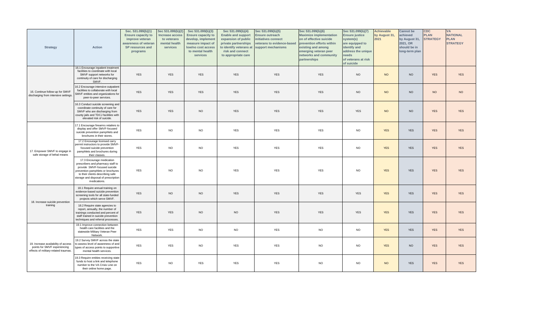| <b>Strategy</b>                                                                                             | <b>Action</b>                                                                                                                                                                                                                   | Sec. 531.099(b)(1)<br><b>Ensure capacity to</b><br>improve veteran<br>awareness of veteran<br>SP resources and<br>programs | Sec 531.099(b)(2)<br><b>Increase access</b><br>to veterans<br>mental health<br>services | Sec 531.099(b)(3)<br><b>Ensure capacity to</b><br>develop, implement<br>measure impact of<br>low/no cost access<br>to mental health<br>services | Sec 531.099(b)(4)<br><b>Enable and support</b><br>expansion of public<br>private partnerships<br>to identify veterans at<br>risk and connect<br>to appropriate care | Sec 531.099(b)(5)<br><b>Ensure outreach</b><br>nitiatives connect<br>reterans to evidence-based<br>support mechanisms | Sec 531.099(b)(6)<br><b>Maximize implementation</b><br>on of effective suicide<br>prevention efforts within<br>existing and among<br>emerging veteran peer<br>networks and community<br>partnerships | Sec 531.099(b)(7)<br><b>Ensure justice</b><br>system(s)<br>are equipped to<br>identify and<br>address the unique<br>needs<br>of veterans at risk<br>of suicide | <b>Achievable</b><br>by August 31,<br>2021 | <b>Cannot</b> be<br>achieved<br>by August 31,<br>2021, OR<br>should be in<br>long-term plan | <b>CDC</b><br><b>PLAN</b><br><b>STRATEGY</b> | <b>VA</b><br><b>NATIONAL</b><br><b>PLAN</b><br><b>STRATEGY</b> |
|-------------------------------------------------------------------------------------------------------------|---------------------------------------------------------------------------------------------------------------------------------------------------------------------------------------------------------------------------------|----------------------------------------------------------------------------------------------------------------------------|-----------------------------------------------------------------------------------------|-------------------------------------------------------------------------------------------------------------------------------------------------|---------------------------------------------------------------------------------------------------------------------------------------------------------------------|-----------------------------------------------------------------------------------------------------------------------|------------------------------------------------------------------------------------------------------------------------------------------------------------------------------------------------------|----------------------------------------------------------------------------------------------------------------------------------------------------------------|--------------------------------------------|---------------------------------------------------------------------------------------------|----------------------------------------------|----------------------------------------------------------------|
|                                                                                                             | 16.1 Encourage inpatient treatment<br>facilities to coordinate with local<br>SMVF support networks for<br>continuity of care for discharging<br>SMVF.                                                                           | <b>YES</b>                                                                                                                 | <b>YES</b>                                                                              | <b>YES</b>                                                                                                                                      | <b>YES</b>                                                                                                                                                          | <b>YES</b>                                                                                                            | <b>YES</b>                                                                                                                                                                                           | <b>NO</b>                                                                                                                                                      | <b>NO</b>                                  | <b>NO</b>                                                                                   | <b>YES</b>                                   | <b>YES</b>                                                     |
| 16. Continue follow-up for SMVF<br>discharging from intensive settings.                                     | 16.2 Encourage intensive outpatient<br>facilities to collaborate with local<br>SMVF entities and organizations for<br>peer-to-peer services.                                                                                    | <b>YES</b>                                                                                                                 | <b>YES</b>                                                                              | <b>YES</b>                                                                                                                                      | <b>YES</b>                                                                                                                                                          | <b>YES</b>                                                                                                            | <b>YES</b>                                                                                                                                                                                           | <b>NO</b>                                                                                                                                                      | <b>NO</b>                                  | <b>NO</b>                                                                                   | <b>NO</b>                                    | <b>NO</b>                                                      |
|                                                                                                             | 16.3 Conduct suicide screening and<br>coordinate continuity of care for<br>SMVF who are discharging from<br>county jails and TDCJ facilities with<br>elevated risk of suicide.                                                  | <b>YES</b>                                                                                                                 | <b>YES</b>                                                                              | <b>NO</b>                                                                                                                                       | <b>YES</b>                                                                                                                                                          | <b>YES</b>                                                                                                            | <b>YES</b>                                                                                                                                                                                           | <b>YES</b>                                                                                                                                                     | <b>NO</b>                                  | <b>NO</b>                                                                                   | <b>YES</b>                                   | <b>YES</b>                                                     |
|                                                                                                             | 17.1 Encourage firearms retailers to<br>display and offer SMVF-focused<br>suicide prevention pamphlets and<br>brochures in their stores.                                                                                        | <b>YES</b>                                                                                                                 | <b>NO</b>                                                                               | <b>NO</b>                                                                                                                                       | <b>YES</b>                                                                                                                                                          | <b>YES</b>                                                                                                            | <b>YES</b>                                                                                                                                                                                           | <b>NO</b>                                                                                                                                                      | <b>YES</b>                                 | <b>YES</b>                                                                                  | <b>YES</b>                                   | <b>YES</b>                                                     |
| 17. Empower SMVF to engage in<br>safe storage of lethal means                                               | 17.2 Encourage licensed carry<br>bermit instructors to provide SMVF-<br>focused suicide prevention<br>pamphlets and brochures during<br>their classes.                                                                          | <b>YES</b>                                                                                                                 | <b>NO</b>                                                                               | <b>NO</b>                                                                                                                                       | <b>YES</b>                                                                                                                                                          | <b>YES</b>                                                                                                            | <b>YES</b>                                                                                                                                                                                           | <b>NO</b>                                                                                                                                                      | <b>YES</b>                                 | <b>YES</b>                                                                                  | <b>YES</b>                                   | <b>YES</b>                                                     |
|                                                                                                             | 17.3 Encourage medication<br>prescribers and pharmacy staff to<br>provide SMVF-focused suicide<br>prevention pamphlets or brochures<br>to their clients describing safe<br>storage and disposal of prescription<br>medications. | <b>YES</b>                                                                                                                 | <b>NO</b>                                                                               | <b>NO</b>                                                                                                                                       | YES                                                                                                                                                                 | <b>YES</b>                                                                                                            | YES                                                                                                                                                                                                  | <b>NO</b>                                                                                                                                                      | <b>YES</b>                                 | <b>YES</b>                                                                                  | <b>YES</b>                                   | <b>YES</b>                                                     |
| 18. Increase suicide prevention                                                                             | 18.1 Require annual training on<br>evidence-based suicide prevention<br>screening tools for all state-funded<br>projects which serve SMVF.                                                                                      | <b>YES</b>                                                                                                                 | <b>NO</b>                                                                               | <b>NO</b>                                                                                                                                       | <b>YES</b>                                                                                                                                                          | <b>YES</b>                                                                                                            | <b>YES</b>                                                                                                                                                                                           | <b>YES</b>                                                                                                                                                     | <b>YES</b>                                 | <b>YES</b>                                                                                  | <b>YES</b>                                   | <b>YES</b>                                                     |
| training                                                                                                    | 18.2 Require state agencies to<br>report, annually, the number of<br>trainings conducted and percent of<br>staff trained in suicide prevention<br>echniques and referral processes                                              | <b>YES</b>                                                                                                                 | <b>YES</b>                                                                              | <b>NO</b>                                                                                                                                       | <b>NO</b>                                                                                                                                                           | <b>YES</b>                                                                                                            | <b>YES</b>                                                                                                                                                                                           | <b>YES</b>                                                                                                                                                     | <b>YES</b>                                 | <b>YES</b>                                                                                  | <b>YES</b>                                   | <b>YES</b>                                                     |
|                                                                                                             | 19.1 Improve connection between<br>health care facilities and the<br>statewide Military Veteran Peer<br>Network.                                                                                                                | <b>YES</b>                                                                                                                 | <b>YES</b>                                                                              | <b>NO</b>                                                                                                                                       | <b>NO</b>                                                                                                                                                           | <b>YES</b>                                                                                                            | <b>NO</b>                                                                                                                                                                                            | <b>NO</b>                                                                                                                                                      | <b>YES</b>                                 | <b>YES</b>                                                                                  | <b>YES</b>                                   | <b>YES</b>                                                     |
| 19. Increase availability of access<br>points for SMVF experiencing<br>effects of military-related traumas. | 19.2 Survey SMVF across the state<br>to assess level of awareness of and<br>types of access points to supportive<br>mental health services.                                                                                     | <b>YES</b>                                                                                                                 | <b>YES</b>                                                                              | <b>NO</b>                                                                                                                                       | YES                                                                                                                                                                 | <b>YES</b>                                                                                                            | <b>NO</b>                                                                                                                                                                                            | <b>NO</b>                                                                                                                                                      | <b>YES</b>                                 | <b>NO</b>                                                                                   | <b>YES</b>                                   | <b>YES</b>                                                     |
|                                                                                                             | 9.3 Require entities receiving state<br>funds to host a link and telephone<br>number to the VA Crisis Line on<br>their online home page.                                                                                        | <b>YES</b>                                                                                                                 | <b>NO</b>                                                                               | <b>YES</b>                                                                                                                                      | YES                                                                                                                                                                 | <b>YES</b>                                                                                                            | <b>NO</b>                                                                                                                                                                                            | <b>NO</b>                                                                                                                                                      | <b>NO</b>                                  | <b>YES</b>                                                                                  | <b>YES</b>                                   | <b>YES</b>                                                     |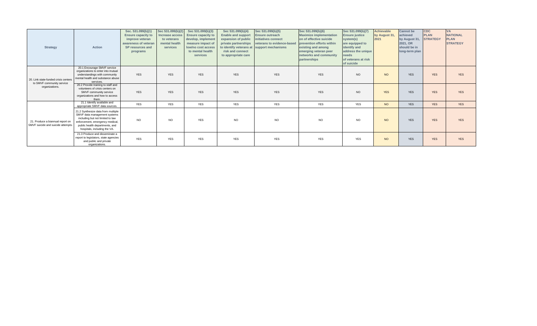| <b>Strategy</b>                                                       | <b>Action</b>                                                                                                                                                                                               | Sec. 531.099(b)(1)<br><b>Ensure capacity to</b><br>improve veteran<br>awareness of veteran<br>SP resources and<br>programs | Sec 531.099(b)(2<br>Increase access<br>to veterans<br>mental health<br>services | Sec 531.099(b)(3)<br><b>Ensure capacity to</b><br>develop, implement<br>measure impact of<br>low/no cost access<br>to mental health<br>services | Sec 531.099(b)(4)<br><b>Enable and support</b><br>expansion of public<br>private partnerships<br>to identify veterans at<br>risk and connect<br>to appropriate care | Sec 531.099(b)(5)<br><b>Ensure outreach</b><br>initiatives connect<br>veterans to evidence-based<br>support mechanisms | Sec 531.099(b)(6)<br><b>Maximize implementation</b><br>on of effective suicide<br>prevention efforts within<br>existing and among<br>emerging veteran peer<br>networks and community<br>partnerships | Sec 531.099(b)(7)<br><b>Ensure iustice</b><br>system(s)<br>are equipped to<br>identify and<br>address the unique<br>needs<br>of veterans at risk<br>of suicide | Achievable<br>by August 31<br>2021 | <b>Cannot</b> be<br>achieved<br>by August 31,<br>2021. OR<br>should be in<br>long-term plan | <b>CDC</b><br><b>PLAN</b><br><b>STRATEGY</b> | <b>VA</b><br><b>NATIONAL</b><br><b>PLAN</b><br><b>STRATEGY</b> |
|-----------------------------------------------------------------------|-------------------------------------------------------------------------------------------------------------------------------------------------------------------------------------------------------------|----------------------------------------------------------------------------------------------------------------------------|---------------------------------------------------------------------------------|-------------------------------------------------------------------------------------------------------------------------------------------------|---------------------------------------------------------------------------------------------------------------------------------------------------------------------|------------------------------------------------------------------------------------------------------------------------|------------------------------------------------------------------------------------------------------------------------------------------------------------------------------------------------------|----------------------------------------------------------------------------------------------------------------------------------------------------------------|------------------------------------|---------------------------------------------------------------------------------------------|----------------------------------------------|----------------------------------------------------------------|
| 20. Link state-funded crisis centers<br>to SMVF community service     | 20.1 Encourage SMVF service<br>organizations to enter into mutual<br>understandings with community<br>mental health and substance abuse<br>services.                                                        | <b>YES</b>                                                                                                                 | <b>YES</b>                                                                      | <b>YES</b>                                                                                                                                      | <b>YES</b>                                                                                                                                                          | <b>YES</b>                                                                                                             | <b>YES</b>                                                                                                                                                                                           | <b>NO</b>                                                                                                                                                      | NO                                 | <b>YES</b>                                                                                  | <b>YES</b>                                   | <b>YES</b>                                                     |
| organizations.                                                        | 20.2 Provide training to staff and<br>volunteers of crisis centers on<br>SMVF community service<br>organizations and how to access<br>them.                                                                 | <b>YES</b>                                                                                                                 | <b>YES</b>                                                                      | <b>YES</b>                                                                                                                                      | <b>YES</b>                                                                                                                                                          | <b>YES</b>                                                                                                             | <b>YES</b>                                                                                                                                                                                           | N <sub>O</sub>                                                                                                                                                 | <b>YES</b>                         | <b>YES</b>                                                                                  | <b>YES</b>                                   | <b>YES</b>                                                     |
|                                                                       | 21.1 Identify available and<br>appropriate SMVF data sources.                                                                                                                                               | <b>YES</b>                                                                                                                 | <b>YES</b>                                                                      | <b>YES</b>                                                                                                                                      | <b>YES</b>                                                                                                                                                          | <b>YES</b>                                                                                                             | <b>YES</b>                                                                                                                                                                                           | <b>YES</b>                                                                                                                                                     | <b>NO</b>                          | <b>YES</b>                                                                                  | <b>YES</b>                                   | <b>YES</b>                                                     |
| 21. Produce a biannual report on<br>SMVF suicide and suicide attempts | 21.2 Synthesize data from multiple<br>SMVF data management systems<br>including but not limited to law<br>enforcement, emergency medical,<br>public health departments, and<br>hospitals, including the VA. | <b>NO</b>                                                                                                                  | <b>NO</b>                                                                       | <b>YES</b>                                                                                                                                      | <b>NO</b>                                                                                                                                                           | <b>NO</b>                                                                                                              | <b>NO</b>                                                                                                                                                                                            | <b>NO</b>                                                                                                                                                      | NO                                 | <b>YES</b>                                                                                  | <b>YES</b>                                   | <b>YES</b>                                                     |
|                                                                       | 21.3 Produce and disseminate a<br>report to legislators, state agencies<br>and public and private<br>organizations.                                                                                         | <b>YES</b>                                                                                                                 | <b>YES</b>                                                                      | <b>YES</b>                                                                                                                                      | <b>YES</b>                                                                                                                                                          | <b>YES</b>                                                                                                             | <b>YES</b>                                                                                                                                                                                           | <b>YES</b>                                                                                                                                                     | NO                                 | <b>YES</b>                                                                                  | <b>YES</b>                                   | <b>YES</b>                                                     |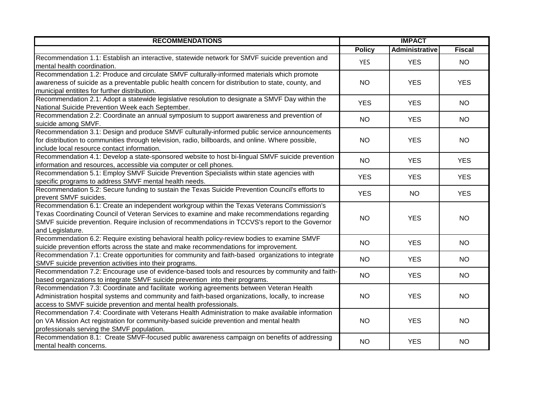| <b>RECOMMENDATIONS</b>                                                                                                                                                                                                                                                                                            | <b>IMPACT</b> |                       |               |  |
|-------------------------------------------------------------------------------------------------------------------------------------------------------------------------------------------------------------------------------------------------------------------------------------------------------------------|---------------|-----------------------|---------------|--|
|                                                                                                                                                                                                                                                                                                                   | <b>Policy</b> | <b>Administrative</b> | <b>Fiscal</b> |  |
| Recommendation 1.1: Establish an interactive, statewide network for SMVF suicide prevention and<br>mental health coordination.                                                                                                                                                                                    | <b>YES</b>    | <b>YES</b>            | <b>NO</b>     |  |
| Recommendation 1.2: Produce and circulate SMVF culturally-informed materials which promote                                                                                                                                                                                                                        |               |                       |               |  |
| awareness of suicide as a preventable public health concern for distribution to state, county, and<br>municipal entitites for further distribution.                                                                                                                                                               | <b>NO</b>     | <b>YES</b>            | <b>YES</b>    |  |
| Recommendation 2.1: Adopt a statewide legislative resolution to designate a SMVF Day within the<br>National Suicide Prevention Week each September.                                                                                                                                                               | <b>YES</b>    | <b>YES</b>            | <b>NO</b>     |  |
| Recommendation 2.2: Coordinate an annual symposium to support awareness and prevention of<br>suicide among SMVF.                                                                                                                                                                                                  | <b>NO</b>     | <b>YES</b>            | <b>NO</b>     |  |
| Recommendation 3.1: Design and produce SMVF culturally-informed public service announcements<br>for distribution to communities through television, radio, billboards, and online. Where possible,<br>include local resource contact information.                                                                 | <b>NO</b>     | <b>YES</b>            | <b>NO</b>     |  |
| Recommendation 4.1: Develop a state-sponsored website to host bi-lingual SMVF suicide prevention<br>information and resources, accessible via computer or cell phones.                                                                                                                                            | <b>NO</b>     | <b>YES</b>            | <b>YES</b>    |  |
| Recommendation 5.1: Employ SMVF Suicide Prevention Specialists within state agencies with<br>specific programs to address SMVF mental health needs.                                                                                                                                                               | <b>YES</b>    | <b>YES</b>            | <b>YES</b>    |  |
| Recommendation 5.2: Secure funding to sustain the Texas Suicide Prevention Council's efforts to<br>prevent SMVF suicides.                                                                                                                                                                                         | <b>YES</b>    | <b>NO</b>             | <b>YES</b>    |  |
| Recommendation 6.1: Create an independent workgroup within the Texas Veterans Commission's<br>Texas Coordinating Council of Veteran Services to examine and make recommendations regarding<br>SMVF suicide prevention. Require inclusion of recommendations in TCCVS's report to the Governor<br>and Legislature. | <b>NO</b>     | <b>YES</b>            | <b>NO</b>     |  |
| Recommendation 6.2: Require existing behavioral health policy-review bodies to examine SMVF<br>suicide prevention efforts across the state and make recommendations for improvement.                                                                                                                              | <b>NO</b>     | <b>YES</b>            | <b>NO</b>     |  |
| Recommendation 7.1: Create opportunities for community and faith-based organizations to integrate<br>SMVF suicide prevention activities into their programs.                                                                                                                                                      | <b>NO</b>     | <b>YES</b>            | <b>NO</b>     |  |
| Recommendation 7.2: Encourage use of evidence-based tools and resources by community and faith-<br>based organizations to integrate SMVF suicide prevention into their programs.                                                                                                                                  | <b>NO</b>     | <b>YES</b>            | <b>NO</b>     |  |
| Recommendation 7.3: Coordinate and facilitate working agreements between Veteran Health<br>Administration hospital systems and community and faith-based organizations, locally, to increase<br>access to SMVF suicide prevention and mental health professionals.                                                | <b>NO</b>     | <b>YES</b>            | <b>NO</b>     |  |
| Recommendation 7.4: Coordinate with Veterans Health Administration to make available information<br>on VA Mission Act registration for community-based suicide prevention and mental health<br>professionals serving the SMVF population.                                                                         | <b>NO</b>     | <b>YES</b>            | <b>NO</b>     |  |
| Recommendation 8.1: Create SMVF-focused public awareness campaign on benefits of addressing<br>mental health concerns.                                                                                                                                                                                            | <b>NO</b>     | <b>YES</b>            | <b>NO</b>     |  |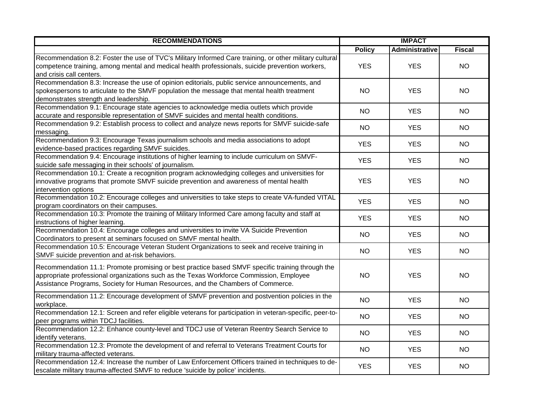| <b>RECOMMENDATIONS</b>                                                                                                                                                                                                                                                         | <b>IMPACT</b> |                       |               |
|--------------------------------------------------------------------------------------------------------------------------------------------------------------------------------------------------------------------------------------------------------------------------------|---------------|-----------------------|---------------|
|                                                                                                                                                                                                                                                                                | <b>Policy</b> | <b>Administrative</b> | <b>Fiscal</b> |
| Recommendation 8.2: Foster the use of TVC's Military Informed Care training, or other military cultural<br>competence training, among mental and medical health professionals, suicide prevention workers,<br>and crisis call centers.                                         | <b>YES</b>    | <b>YES</b>            | <b>NO</b>     |
| Recommendation 8.3: Increase the use of opinion editorials, public service announcements, and<br>spokespersons to articulate to the SMVF population the message that mental health treatment<br>demonstrates strength and leadership.                                          | <b>NO</b>     | <b>YES</b>            | <b>NO</b>     |
| Recommendation 9.1: Encourage state agencies to acknowledge media outlets which provide<br>accurate and responsible representation of SMVF suicides and mental health conditions.                                                                                              | <b>NO</b>     | <b>YES</b>            | <b>NO</b>     |
| Recommendation 9.2: Establish process to collect and analyze news reports for SMVF suicide-safe<br>messaging.                                                                                                                                                                  | <b>NO</b>     | <b>YES</b>            | <b>NO</b>     |
| Recommendation 9.3: Encourage Texas journalism schools and media associations to adopt<br>evidence-based practices regarding SMVF suicides.                                                                                                                                    | <b>YES</b>    | <b>YES</b>            | <b>NO</b>     |
| Recommendation 9.4: Encourage institutions of higher learning to include curriculum on SMVF-<br>suicide safe messaging in their schools' of journalism.                                                                                                                        | <b>YES</b>    | <b>YES</b>            | <b>NO</b>     |
| Recommendation 10.1: Create a recognition program acknowledging colleges and universities for<br>innovative programs that promote SMVF suicide prevention and awareness of mental health<br>intervention options                                                               | <b>YES</b>    | <b>YES</b>            | <b>NO</b>     |
| Recommendation 10.2: Encourage colleges and universities to take steps to create VA-funded VITAL<br>program coordinators on their campuses.                                                                                                                                    | <b>YES</b>    | <b>YES</b>            | <b>NO</b>     |
| Recommendation 10.3: Promote the training of Military Informed Care among faculty and staff at<br>instructions of higher learning.                                                                                                                                             | <b>YES</b>    | <b>YES</b>            | <b>NO</b>     |
| Recommendation 10.4: Encourage colleges and universities to invite VA Suicide Prevention<br>Coordinators to present at seminars focused on SMVF mental health.                                                                                                                 | <b>NO</b>     | <b>YES</b>            | <b>NO</b>     |
| Recommendation 10.5: Encourage Veteran Student Organizations to seek and receive training in<br>SMVF suicide prevention and at-risk behaviors.                                                                                                                                 | <b>NO</b>     | <b>YES</b>            | <b>NO</b>     |
| Recommendation 11.1: Promote promising or best practice based SMVF specific training through the<br>appropriate professional organizations such as the Texas Workforce Commission, Employee<br>Assistance Programs, Society for Human Resources, and the Chambers of Commerce. | <b>NO</b>     | <b>YES</b>            | <b>NO</b>     |
| Recommendation 11.2: Encourage development of SMVF prevention and postvention policies in the<br>workplace.                                                                                                                                                                    | <b>NO</b>     | <b>YES</b>            | <b>NO</b>     |
| Recommendation 12.1: Screen and refer eligible veterans for participation in veteran-specific, peer-to-<br>peer programs within TDCJ facilities.                                                                                                                               | <b>NO</b>     | <b>YES</b>            | <b>NO</b>     |
| Recommendation 12.2: Enhance county-level and TDCJ use of Veteran Reentry Search Service to<br>identify veterans.                                                                                                                                                              | <b>NO</b>     | <b>YES</b>            | <b>NO</b>     |
| Recommendation 12.3: Promote the development of and referral to Veterans Treatment Courts for<br>military trauma-affected veterans.                                                                                                                                            | <b>NO</b>     | <b>YES</b>            | <b>NO</b>     |
| Recommendation 12.4: Increase the number of Law Enforcement Officers trained in techniques to de-<br>escalate military trauma-affected SMVF to reduce 'suicide by police' incidents.                                                                                           | <b>YES</b>    | <b>YES</b>            | <b>NO</b>     |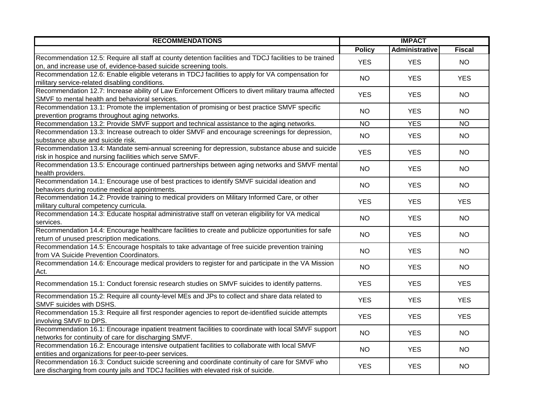| <b>RECOMMENDATIONS</b>                                                                                                                                                                |                 | <b>IMPACT</b>  |               |  |
|---------------------------------------------------------------------------------------------------------------------------------------------------------------------------------------|-----------------|----------------|---------------|--|
|                                                                                                                                                                                       | <b>Policy</b>   | Administrative | <b>Fiscal</b> |  |
| Recommendation 12.5: Require all staff at county detention facilities and TDCJ facilities to be trained<br>on, and increase use of, evidence-based suicide screening tools.           | <b>YES</b>      | <b>YES</b>     | <b>NO</b>     |  |
| Recommendation 12.6: Enable eligible veterans in TDCJ facilities to apply for VA compensation for<br>military service-related disabling conditions.                                   | <b>NO</b>       | <b>YES</b>     | <b>YES</b>    |  |
| Recommendation 12.7: Increase ability of Law Enforcement Officers to divert military trauma affected<br>SMVF to mental health and behavioral services.                                | <b>YES</b>      | <b>YES</b>     | <b>NO</b>     |  |
| Recommendation 13.1: Promote the implementation of promising or best practice SMVF specific<br>prevention programs throughout aging networks.                                         | <b>NO</b>       | <b>YES</b>     | <b>NO</b>     |  |
| Recommendation 13.2: Provide SMVF support and technical assistance to the aging networks.                                                                                             | $\overline{NO}$ | <b>YES</b>     | <b>NO</b>     |  |
| Recommendation 13.3: Increase outreach to older SMVF and encourage screenings for depression,<br>substance abuse and suicide risk.                                                    | <b>NO</b>       | <b>YES</b>     | <b>NO</b>     |  |
| Recommendation 13.4: Mandate semi-annual screening for depression, substance abuse and suicide<br>risk in hospice and nursing facilities which serve SMVF.                            | <b>YES</b>      | <b>YES</b>     | <b>NO</b>     |  |
| Recommendation 13.5: Encourage continued partnerships between aging networks and SMVF mental<br>health providers.                                                                     | <b>NO</b>       | <b>YES</b>     | <b>NO</b>     |  |
| Recommendation 14.1: Encourage use of best practices to identify SMVF suicidal ideation and<br>behaviors during routine medical appointments.                                         | <b>NO</b>       | <b>YES</b>     | <b>NO</b>     |  |
| Recommendation 14.2: Provide training to medical providers on Military Informed Care, or other<br>military cultural competency curricula.                                             | <b>YES</b>      | <b>YES</b>     | <b>YES</b>    |  |
| Recommendation 14.3: Educate hospital administrative staff on veteran eligibility for VA medical<br>services.                                                                         | <b>NO</b>       | <b>YES</b>     | <b>NO</b>     |  |
| Recommendation 14.4: Encourage healthcare facilities to create and publicize opportunities for safe<br>return of unused prescription medications.                                     | <b>NO</b>       | <b>YES</b>     | <b>NO</b>     |  |
| Recommendation 14.5: Encourage hospitals to take advantage of free suicide prevention training<br>from VA Suicide Prevention Coordinators.                                            | <b>NO</b>       | <b>YES</b>     | <b>NO</b>     |  |
| Recommendation 14.6: Encourage medical providers to register for and participate in the VA Mission<br>Act.                                                                            | <b>NO</b>       | <b>YES</b>     | <b>NO</b>     |  |
| Recommendation 15.1: Conduct forensic research studies on SMVF suicides to identify patterns.                                                                                         | <b>YES</b>      | <b>YES</b>     | <b>YES</b>    |  |
| Recommendation 15.2: Require all county-level MEs and JPs to collect and share data related to<br>SMVF suicides with DSHS.                                                            | <b>YES</b>      | <b>YES</b>     | <b>YES</b>    |  |
| Recommendation 15.3: Require all first responder agencies to report de-identified suicide attempts<br>involving SMVF to DPS.                                                          | <b>YES</b>      | <b>YES</b>     | <b>YES</b>    |  |
| Recommendation 16.1: Encourage inpatient treatment facilities to coordinate with local SMVF support<br>networks for continuity of care for discharging SMVF.                          | <b>NO</b>       | <b>YES</b>     | <b>NO</b>     |  |
| Recommendation 16.2: Encourage intensive outpatient facilities to collaborate with local SMVF<br>entities and organizations for peer-to-peer services.                                | <b>NO</b>       | <b>YES</b>     | <b>NO</b>     |  |
| Recommendation 16.3: Conduct suicide screening and coordinate continuity of care for SMVF who<br>are discharging from county jails and TDCJ facilities with elevated risk of suicide. | <b>YES</b>      | <b>YES</b>     | <b>NO</b>     |  |